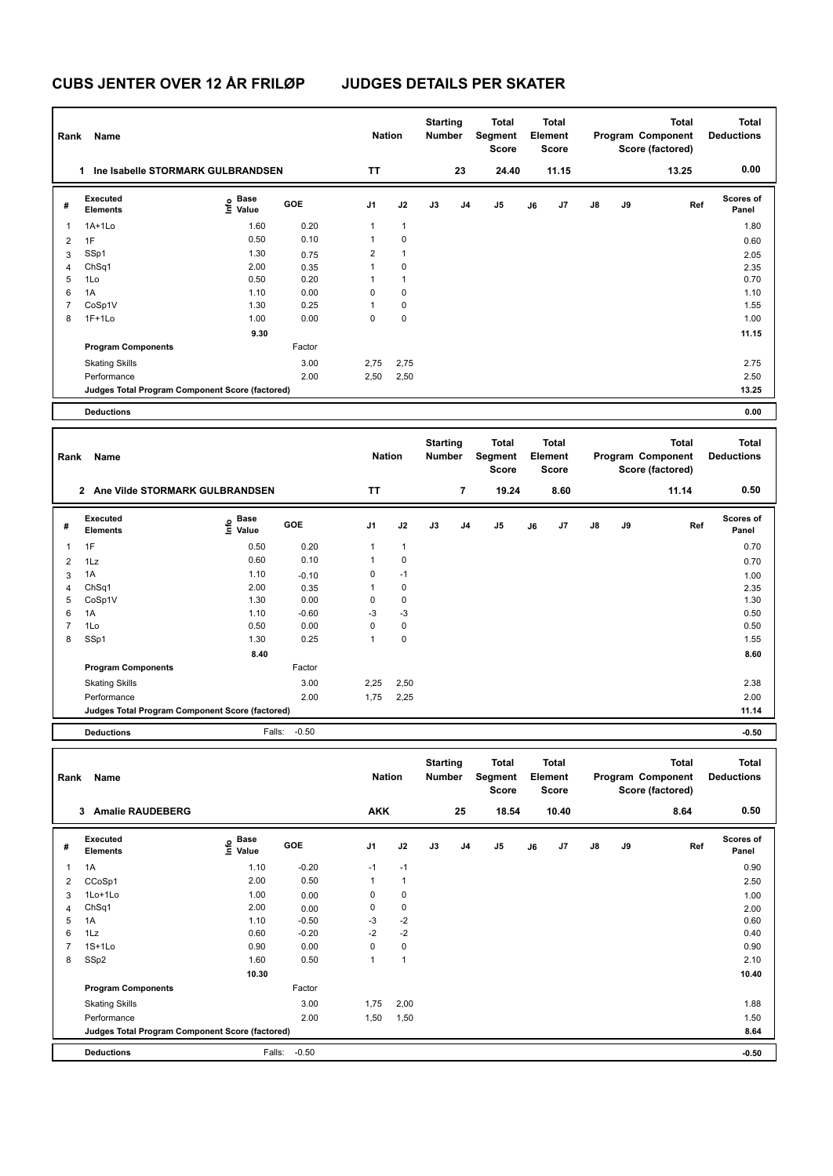| Rank           | Name                                            |                                  |               | <b>Nation</b>  |              | <b>Starting</b><br>Number |                          | <b>Total</b><br>Segment<br>Score        |    | <b>Total</b><br>Element<br>Score |    |    | <b>Total</b><br>Program Component<br>Score (factored) | <b>Total</b><br><b>Deductions</b> |
|----------------|-------------------------------------------------|----------------------------------|---------------|----------------|--------------|---------------------------|--------------------------|-----------------------------------------|----|----------------------------------|----|----|-------------------------------------------------------|-----------------------------------|
|                | 1 Ine Isabelle STORMARK GULBRANDSEN             |                                  |               | TT             |              |                           | 23                       | 24.40                                   |    | 11.15                            |    |    | 13.25                                                 | 0.00                              |
| #              | <b>Executed</b><br>Elements                     | e Base<br>⊆ Value                | GOE           | J1             | J2           | J3                        | J4                       | J5                                      | J6 | J7                               | J8 | J9 | Ref                                                   | Scores of<br>Panel                |
| 1              | 1A+1Lo                                          | 1.60                             | 0.20          | 1              | $\mathbf{1}$ |                           |                          |                                         |    |                                  |    |    |                                                       | 1.80                              |
| 2              | 1F                                              | 0.50                             | 0.10          | $\mathbf{1}$   | $\pmb{0}$    |                           |                          |                                         |    |                                  |    |    |                                                       | 0.60                              |
| 3              | SSp1                                            | 1.30                             | 0.75          | $\overline{c}$ | $\mathbf{1}$ |                           |                          |                                         |    |                                  |    |    |                                                       | 2.05                              |
| 4              | ChSq1                                           | 2.00                             | 0.35          | 1              | 0            |                           |                          |                                         |    |                                  |    |    |                                                       | 2.35                              |
| 5              | 1Lo                                             | 0.50                             | 0.20          | 1              | $\mathbf{1}$ |                           |                          |                                         |    |                                  |    |    |                                                       | 0.70                              |
| 6              | 1A                                              | 1.10                             | 0.00          | 0              | 0            |                           |                          |                                         |    |                                  |    |    |                                                       | 1.10                              |
| $\overline{7}$ | CoSp1V                                          | 1.30                             | 0.25          | 1              | $\pmb{0}$    |                           |                          |                                         |    |                                  |    |    |                                                       | 1.55                              |
| 8              | 1F+1Lo                                          | 1.00                             | 0.00          | $\mathbf 0$    | 0            |                           |                          |                                         |    |                                  |    |    |                                                       | 1.00                              |
|                |                                                 | 9.30                             |               |                |              |                           |                          |                                         |    |                                  |    |    |                                                       | 11.15                             |
|                | <b>Program Components</b>                       |                                  | Factor        |                |              |                           |                          |                                         |    |                                  |    |    |                                                       |                                   |
|                | <b>Skating Skills</b>                           |                                  | 3.00          | 2,75           | 2,75         |                           |                          |                                         |    |                                  |    |    |                                                       | 2.75                              |
|                | Performance                                     |                                  | 2.00          | 2,50           | 2,50         |                           |                          |                                         |    |                                  |    |    |                                                       | 2.50                              |
|                | Judges Total Program Component Score (factored) |                                  |               |                |              |                           |                          |                                         |    |                                  |    |    |                                                       | 13.25                             |
|                | <b>Deductions</b>                               |                                  |               |                |              |                           |                          |                                         |    |                                  |    |    |                                                       | 0.00                              |
|                |                                                 |                                  |               |                |              |                           |                          |                                         |    |                                  |    |    |                                                       |                                   |
| Rank           | Name                                            |                                  |               | <b>Nation</b>  |              | <b>Starting</b><br>Number |                          | <b>Total</b><br>Segment<br><b>Score</b> |    | Total<br>Element<br><b>Score</b> |    |    | Total<br>Program Component<br>Score (factored)        | <b>Total</b><br><b>Deductions</b> |
|                | 2 Ane Vilde STORMARK GULBRANDSEN                |                                  |               | TΤ             |              |                           | $\overline{\phantom{a}}$ | 19.24                                   |    | 8.60                             |    |    | 11.14                                                 | 0.50                              |
| #              | Executed<br><b>Elements</b>                     | e Base<br>⊆ Value                | GOE           | J1             | J2           | J3                        | J4                       | J5                                      | J6 | J7                               | J8 | J9 | Ref                                                   | Scores of<br>Panel                |
| 1              | 1F                                              | 0.50                             | 0.20          | 1              | $\mathbf{1}$ |                           |                          |                                         |    |                                  |    |    |                                                       | 0.70                              |
| 2              | 1Lz                                             | 0.60                             | 0.10          | $\mathbf{1}$   | $\pmb{0}$    |                           |                          |                                         |    |                                  |    |    |                                                       | 0.70                              |
| 3              | 1A                                              | 1.10                             | $-0.10$       | 0              | $-1$         |                           |                          |                                         |    |                                  |    |    |                                                       | 1.00                              |
| 4              | ChSq1                                           | 2.00                             | 0.35          | 1              | 0            |                           |                          |                                         |    |                                  |    |    |                                                       | 2.35                              |
| 5              | CoSp1V                                          | 1.30                             | 0.00          | 0              | $\pmb{0}$    |                           |                          |                                         |    |                                  |    |    |                                                       | 1.30                              |
| 6              | 1A                                              | 1.10                             | $-0.60$       | -3             | $-3$         |                           |                          |                                         |    |                                  |    |    |                                                       | 0.50                              |
| $\overline{7}$ | 1Lo                                             | 0.50                             | 0.00          | 0              | 0            |                           |                          |                                         |    |                                  |    |    |                                                       | 0.50                              |
| 8              | SSp1                                            | 1.30                             | 0.25          | $\mathbf{1}$   | $\pmb{0}$    |                           |                          |                                         |    |                                  |    |    |                                                       | 1.55                              |
|                |                                                 | 8.40                             |               |                |              |                           |                          |                                         |    |                                  |    |    |                                                       | 8.60                              |
|                | <b>Program Components</b>                       |                                  | Factor        |                |              |                           |                          |                                         |    |                                  |    |    |                                                       |                                   |
|                | <b>Skating Skills</b>                           |                                  | 3.00          | 2,25           | 2,50         |                           |                          |                                         |    |                                  |    |    |                                                       | 2.38                              |
|                | Performance                                     |                                  | 2.00          | 1,75           | 2,25         |                           |                          |                                         |    |                                  |    |    |                                                       | 2.00                              |
|                | Judges Total Program Component Score (factored) |                                  |               |                |              |                           |                          |                                         |    |                                  |    |    |                                                       | 11.14                             |
|                | <b>Deductions</b>                               |                                  | Falls: - 0.50 |                |              |                           |                          |                                         |    |                                  |    |    |                                                       | $-0.50$                           |
|                |                                                 |                                  |               |                |              |                           |                          |                                         |    |                                  |    |    |                                                       |                                   |
| Rank           | Name                                            |                                  |               | <b>Nation</b>  |              | <b>Starting</b><br>Number |                          | <b>Total</b><br>Segment<br>Score        |    | Total<br>Element<br>Score        |    |    | Total<br>Program Component<br>Score (factored)        | <b>Total</b><br><b>Deductions</b> |
|                | 3 Amalie RAUDEBERG                              |                                  |               | <b>AKK</b>     |              |                           | 25                       | 18.54                                   |    | 10.40                            |    |    | 8.64                                                  | 0.50                              |
| #              | Executed<br><b>Elements</b>                     | <b>Base</b><br>e Base<br>⊆ Value | GOE           | J1             | J2           | J3                        | J4                       | J5                                      | J6 | J7                               | J8 | J9 | Ref                                                   | <b>Scores of</b><br>Panel         |
| 1              | 1A                                              | 1.10                             | $-0.20$       | $-1$           | $-1$         |                           |                          |                                         |    |                                  |    |    |                                                       | 0.90                              |
| $\overline{2}$ | CCoSp1                                          | 2.00                             | 0.50          | $\mathbf{1}$   | $\mathbf{1}$ |                           |                          |                                         |    |                                  |    |    |                                                       | 2.50                              |
| 3              | 1Lo+1Lo                                         | 1.00                             | 0.00          | 0              | $\pmb{0}$    |                           |                          |                                         |    |                                  |    |    |                                                       | 1.00                              |
| $\overline{4}$ | ChSq1                                           | 2.00                             | 0.00          | 0              | $\pmb{0}$    |                           |                          |                                         |    |                                  |    |    |                                                       | 2.00                              |
| 5              | 1A                                              | 1.10                             | $-0.50$       | -3             | $-2$         |                           |                          |                                         |    |                                  |    |    |                                                       | 0.60                              |
| 6              | 1Lz                                             | 0.60                             | $-0.20$       | $-2$           | $-2$         |                           |                          |                                         |    |                                  |    |    |                                                       | 0.40                              |
| $\overline{7}$ | $1S+1Lo$                                        | 0.90                             | 0.00          | $\mathbf 0$    | 0            |                           |                          |                                         |    |                                  |    |    |                                                       | 0.90                              |
| 8              | SSp2                                            | 1.60                             | 0.50          | $\mathbf{1}$   | $\mathbf{1}$ |                           |                          |                                         |    |                                  |    |    |                                                       | 2.10                              |
|                |                                                 | 10.30                            |               |                |              |                           |                          |                                         |    |                                  |    |    |                                                       | 10.40                             |
|                | <b>Program Components</b>                       |                                  | Factor        |                |              |                           |                          |                                         |    |                                  |    |    |                                                       |                                   |
|                | <b>Skating Skills</b>                           |                                  | 3.00          | 1,75           | 2,00         |                           |                          |                                         |    |                                  |    |    |                                                       | 1.88                              |
|                | Performance                                     |                                  | 2.00          | 1,50           | 1,50         |                           |                          |                                         |    |                                  |    |    |                                                       | 1.50                              |
|                | Judges Total Program Component Score (factored) |                                  |               |                |              |                           |                          |                                         |    |                                  |    |    |                                                       | 8.64                              |
|                | <b>Deductions</b>                               | Falls:                           | $-0.50$       |                |              |                           |                          |                                         |    |                                  |    |    |                                                       | $-0.50$                           |
|                |                                                 |                                  |               |                |              |                           |                          |                                         |    |                                  |    |    |                                                       |                                   |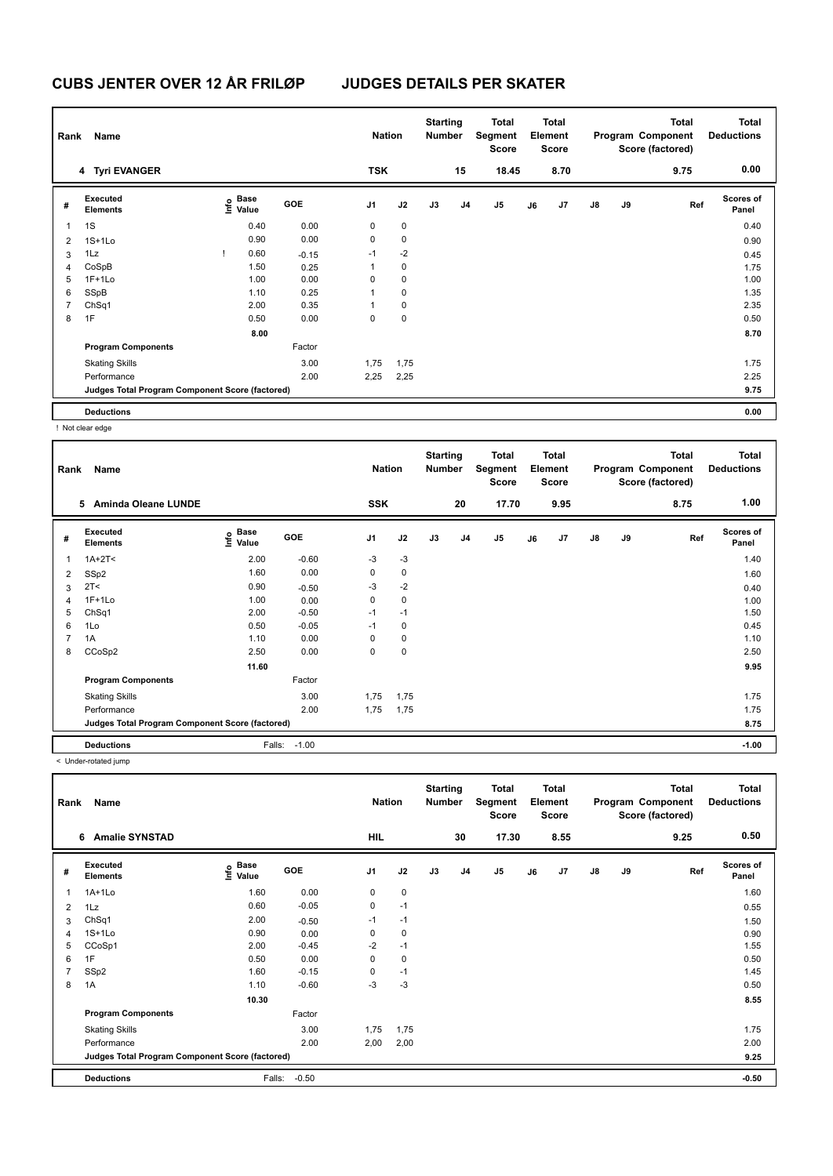| Rank           | Name                                            |                                             |         | <b>Nation</b> |             | <b>Starting</b><br><b>Number</b> |    | <b>Total</b><br>Segment<br><b>Score</b> |    | <b>Total</b><br>Element<br><b>Score</b> |               |    | <b>Total</b><br>Program Component<br>Score (factored) | <b>Total</b><br><b>Deductions</b> |
|----------------|-------------------------------------------------|---------------------------------------------|---------|---------------|-------------|----------------------------------|----|-----------------------------------------|----|-----------------------------------------|---------------|----|-------------------------------------------------------|-----------------------------------|
|                | 4 Tyri EVANGER                                  |                                             |         | <b>TSK</b>    |             |                                  | 15 | 18.45                                   |    | 8.70                                    |               |    | 9.75                                                  | 0.00                              |
| #              | Executed<br>Elements                            | <b>Base</b><br>e <sup>Base</sup><br>⊆ Value | GOE     | J1            | J2          | J3                               | J4 | J <sub>5</sub>                          | J6 | J7                                      | $\mathsf{J}8$ | J9 | Ref                                                   | <b>Scores of</b><br>Panel         |
| 1              | 1S                                              | 0.40                                        | 0.00    | 0             | $\mathbf 0$ |                                  |    |                                         |    |                                         |               |    |                                                       | 0.40                              |
| 2              | $1S+1Lo$                                        | 0.90                                        | 0.00    | 0             | $\mathbf 0$ |                                  |    |                                         |    |                                         |               |    |                                                       | 0.90                              |
| 3              | 1Lz                                             | 0.60                                        | $-0.15$ | $-1$          | $-2$        |                                  |    |                                         |    |                                         |               |    |                                                       | 0.45                              |
| 4              | CoSpB                                           | 1.50                                        | 0.25    | 1             | 0           |                                  |    |                                         |    |                                         |               |    |                                                       | 1.75                              |
| 5              | $1F+1Lo$                                        | 1.00                                        | 0.00    | 0             | 0           |                                  |    |                                         |    |                                         |               |    |                                                       | 1.00                              |
| 6              | SSpB                                            | 1.10                                        | 0.25    |               | $\pmb{0}$   |                                  |    |                                         |    |                                         |               |    |                                                       | 1.35                              |
| $\overline{7}$ | ChSq1                                           | 2.00                                        | 0.35    |               | $\mathbf 0$ |                                  |    |                                         |    |                                         |               |    |                                                       | 2.35                              |
| 8              | 1F                                              | 0.50                                        | 0.00    | 0             | $\pmb{0}$   |                                  |    |                                         |    |                                         |               |    |                                                       | 0.50                              |
|                |                                                 | 8.00                                        |         |               |             |                                  |    |                                         |    |                                         |               |    |                                                       | 8.70                              |
|                | <b>Program Components</b>                       |                                             | Factor  |               |             |                                  |    |                                         |    |                                         |               |    |                                                       |                                   |
|                | <b>Skating Skills</b>                           |                                             | 3.00    | 1,75          | 1,75        |                                  |    |                                         |    |                                         |               |    |                                                       | 1.75                              |
|                | Performance                                     |                                             | 2.00    | 2,25          | 2,25        |                                  |    |                                         |    |                                         |               |    |                                                       | 2.25                              |
|                | Judges Total Program Component Score (factored) |                                             |         |               |             |                                  |    |                                         |    |                                         |               |    |                                                       | 9.75                              |
|                | <b>Deductions</b>                               |                                             |         |               |             |                                  |    |                                         |    |                                         |               |    |                                                       | 0.00                              |

! Not clear edge

| Rank           | Name                                            |                                  |         | <b>Nation</b>  |             | <b>Starting</b><br><b>Number</b> |                | Total<br>Segment<br><b>Score</b> |    | Total<br>Element<br><b>Score</b> |               |    | <b>Total</b><br>Program Component<br>Score (factored) | <b>Total</b><br><b>Deductions</b> |
|----------------|-------------------------------------------------|----------------------------------|---------|----------------|-------------|----------------------------------|----------------|----------------------------------|----|----------------------------------|---------------|----|-------------------------------------------------------|-----------------------------------|
|                | <b>Aminda Oleane LUNDE</b><br>5                 |                                  |         | <b>SSK</b>     |             |                                  | 20             | 17.70                            |    | 9.95                             |               |    | 8.75                                                  | 1.00                              |
| #              | Executed<br><b>Elements</b>                     | <b>Base</b><br>o Base<br>E Value | GOE     | J <sub>1</sub> | J2          | J3                               | J <sub>4</sub> | J5                               | J6 | J7                               | $\mathsf{J}8$ | J9 | Ref                                                   | <b>Scores of</b><br>Panel         |
| $\overline{1}$ | $1A+2T2$                                        | 2.00                             | $-0.60$ | $-3$           | $-3$        |                                  |                |                                  |    |                                  |               |    |                                                       | 1.40                              |
| 2              | SSp2                                            | 1.60                             | 0.00    | 0              | $\mathbf 0$ |                                  |                |                                  |    |                                  |               |    |                                                       | 1.60                              |
| 3              | 2T<                                             | 0.90                             | $-0.50$ | $-3$           | $-2$        |                                  |                |                                  |    |                                  |               |    |                                                       | 0.40                              |
| $\overline{4}$ | $1F+1Lo$                                        | 1.00                             | 0.00    | 0              | $\mathbf 0$ |                                  |                |                                  |    |                                  |               |    |                                                       | 1.00                              |
| 5              | ChSq1                                           | 2.00                             | $-0.50$ | $-1$           | $-1$        |                                  |                |                                  |    |                                  |               |    |                                                       | 1.50                              |
| 6              | 1Lo                                             | 0.50                             | $-0.05$ | $-1$           | 0           |                                  |                |                                  |    |                                  |               |    |                                                       | 0.45                              |
| $\overline{7}$ | 1A                                              | 1.10                             | 0.00    | 0              | 0           |                                  |                |                                  |    |                                  |               |    |                                                       | 1.10                              |
| 8              | CCoSp2                                          | 2.50                             | 0.00    | 0              | $\mathbf 0$ |                                  |                |                                  |    |                                  |               |    |                                                       | 2.50                              |
|                |                                                 | 11.60                            |         |                |             |                                  |                |                                  |    |                                  |               |    |                                                       | 9.95                              |
|                | <b>Program Components</b>                       |                                  | Factor  |                |             |                                  |                |                                  |    |                                  |               |    |                                                       |                                   |
|                | <b>Skating Skills</b>                           |                                  | 3.00    | 1,75           | 1,75        |                                  |                |                                  |    |                                  |               |    |                                                       | 1.75                              |
|                | Performance                                     |                                  | 2.00    | 1,75           | 1,75        |                                  |                |                                  |    |                                  |               |    |                                                       | 1.75                              |
|                | Judges Total Program Component Score (factored) |                                  |         |                |             |                                  |                |                                  |    |                                  |               |    |                                                       | 8.75                              |
|                | <b>Deductions</b>                               | Falls:                           | $-1.00$ |                |             |                                  |                |                                  |    |                                  |               |    |                                                       | $-1.00$                           |

< Under-rotated jump

| Rank           | Name                                            |                           |            | <b>Nation</b>  |           | <b>Starting</b><br><b>Number</b> |                | Total<br>Segment<br>Score |    | <b>Total</b><br>Element<br><b>Score</b> |               |    | <b>Total</b><br>Program Component<br>Score (factored) | <b>Total</b><br><b>Deductions</b> |
|----------------|-------------------------------------------------|---------------------------|------------|----------------|-----------|----------------------------------|----------------|---------------------------|----|-----------------------------------------|---------------|----|-------------------------------------------------------|-----------------------------------|
|                | <b>Amalie SYNSTAD</b><br>6                      |                           |            | <b>HIL</b>     |           |                                  | 30             | 17.30                     |    | 8.55                                    |               |    | 9.25                                                  | 0.50                              |
| #              | Executed<br><b>Elements</b>                     | Base<br>e Base<br>⊆ Value | <b>GOE</b> | J <sub>1</sub> | J2        | J3                               | J <sub>4</sub> | J <sub>5</sub>            | J6 | J7                                      | $\mathsf{J}8$ | J9 | Ref                                                   | <b>Scores of</b><br>Panel         |
|                | $1A+1Lo$                                        | 1.60                      | 0.00       | 0              | $\pmb{0}$ |                                  |                |                           |    |                                         |               |    |                                                       | 1.60                              |
| 2              | 1Lz                                             | 0.60                      | $-0.05$    | 0              | $-1$      |                                  |                |                           |    |                                         |               |    |                                                       | 0.55                              |
| 3              | ChSq1                                           | 2.00                      | $-0.50$    | $-1$           | $-1$      |                                  |                |                           |    |                                         |               |    |                                                       | 1.50                              |
| 4              | $1S+1Lo$                                        | 0.90                      | 0.00       | 0              | $\pmb{0}$ |                                  |                |                           |    |                                         |               |    |                                                       | 0.90                              |
| 5              | CCoSp1                                          | 2.00                      | $-0.45$    | $-2$           | $-1$      |                                  |                |                           |    |                                         |               |    |                                                       | 1.55                              |
| 6              | 1F                                              | 0.50                      | 0.00       | 0              | 0         |                                  |                |                           |    |                                         |               |    |                                                       | 0.50                              |
| $\overline{7}$ | SSp2                                            | 1.60                      | $-0.15$    | 0              | $-1$      |                                  |                |                           |    |                                         |               |    |                                                       | 1.45                              |
| 8              | 1A                                              | 1.10                      | $-0.60$    | -3             | $-3$      |                                  |                |                           |    |                                         |               |    |                                                       | 0.50                              |
|                |                                                 | 10.30                     |            |                |           |                                  |                |                           |    |                                         |               |    |                                                       | 8.55                              |
|                | <b>Program Components</b>                       |                           | Factor     |                |           |                                  |                |                           |    |                                         |               |    |                                                       |                                   |
|                | <b>Skating Skills</b>                           |                           | 3.00       | 1,75           | 1,75      |                                  |                |                           |    |                                         |               |    |                                                       | 1.75                              |
|                | Performance                                     |                           | 2.00       | 2,00           | 2,00      |                                  |                |                           |    |                                         |               |    |                                                       | 2.00                              |
|                | Judges Total Program Component Score (factored) |                           |            |                |           |                                  |                |                           |    |                                         |               |    |                                                       | 9.25                              |
|                | <b>Deductions</b>                               | Falls:                    | $-0.50$    |                |           |                                  |                |                           |    |                                         |               |    |                                                       | $-0.50$                           |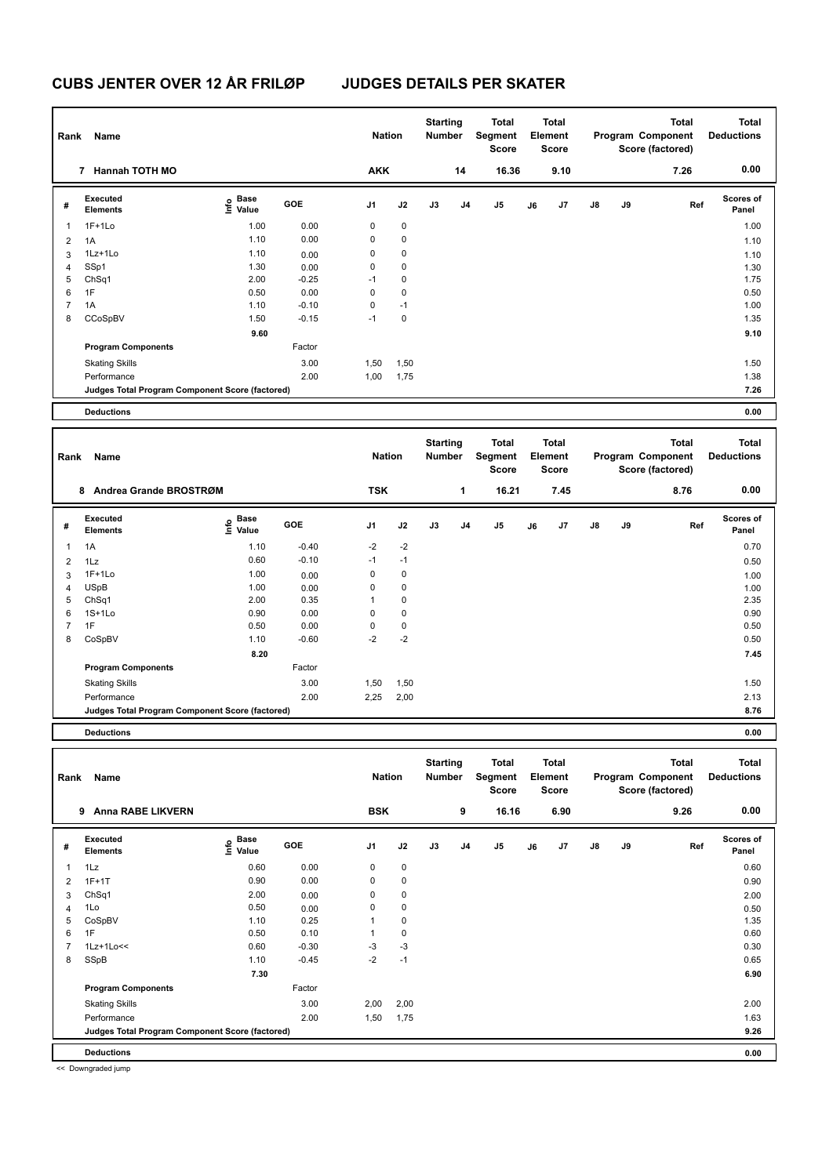| Rank                    | <b>Name</b>                                     |                                  |         | <b>Nation</b>  |             | <b>Starting</b><br>Number |    | <b>Total</b><br>Segment<br><b>Score</b> |    | <b>Total</b><br>Element<br>Score        |    |    | <b>Total</b><br>Program Component<br>Score (factored) | <b>Total</b><br><b>Deductions</b> |
|-------------------------|-------------------------------------------------|----------------------------------|---------|----------------|-------------|---------------------------|----|-----------------------------------------|----|-----------------------------------------|----|----|-------------------------------------------------------|-----------------------------------|
|                         | 7 Hannah TOTH MO                                |                                  |         | <b>AKK</b>     |             |                           | 14 | 16.36                                   |    | 9.10                                    |    |    | 7.26                                                  | 0.00                              |
| #                       | Executed<br><b>Elements</b>                     | Base<br>e Base<br>⊆ Value        | GOE     | J1             | J2          | J3                        | J4 | J5                                      | J6 | J7                                      | J8 | J9 | Ref                                                   | <b>Scores of</b><br>Panel         |
| $\mathbf{1}$            | $1F+1Lo$                                        | 1.00                             | 0.00    | 0              | 0           |                           |    |                                         |    |                                         |    |    |                                                       | 1.00                              |
| $\overline{\mathbf{c}}$ | 1A                                              | 1.10                             | 0.00    | 0              | $\pmb{0}$   |                           |    |                                         |    |                                         |    |    |                                                       | 1.10                              |
| 3                       | 1Lz+1Lo                                         | 1.10                             | 0.00    | 0              | 0           |                           |    |                                         |    |                                         |    |    |                                                       | 1.10                              |
| 4                       | SSp1                                            | 1.30                             | 0.00    | 0              | $\mathbf 0$ |                           |    |                                         |    |                                         |    |    |                                                       | 1.30                              |
| 5                       | Ch <sub>Sq1</sub>                               | 2.00                             | $-0.25$ | -1             | $\mathbf 0$ |                           |    |                                         |    |                                         |    |    |                                                       | 1.75                              |
| 6                       | 1F                                              | 0.50                             | 0.00    | 0              | $\mathbf 0$ |                           |    |                                         |    |                                         |    |    |                                                       | 0.50                              |
| 7                       | 1A                                              | 1.10                             | $-0.10$ | 0              | $-1$        |                           |    |                                         |    |                                         |    |    |                                                       | 1.00                              |
| 8                       | CCoSpBV                                         | 1.50                             | $-0.15$ | $-1$           | $\pmb{0}$   |                           |    |                                         |    |                                         |    |    |                                                       | 1.35                              |
|                         |                                                 | 9.60                             |         |                |             |                           |    |                                         |    |                                         |    |    |                                                       | 9.10                              |
|                         | <b>Program Components</b>                       |                                  | Factor  |                |             |                           |    |                                         |    |                                         |    |    |                                                       |                                   |
|                         | <b>Skating Skills</b>                           |                                  | 3.00    | 1,50           | 1,50        |                           |    |                                         |    |                                         |    |    |                                                       | 1.50                              |
|                         | Performance                                     |                                  | 2.00    | 1,00           | 1,75        |                           |    |                                         |    |                                         |    |    |                                                       | 1.38                              |
|                         | Judges Total Program Component Score (factored) |                                  |         |                |             |                           |    |                                         |    |                                         |    |    |                                                       | 7.26                              |
|                         | <b>Deductions</b>                               |                                  |         |                |             |                           |    |                                         |    |                                         |    |    |                                                       | 0.00                              |
|                         |                                                 |                                  |         |                |             |                           |    |                                         |    |                                         |    |    |                                                       |                                   |
| Rank                    | Name                                            |                                  |         | <b>Nation</b>  |             | <b>Starting</b><br>Number |    | <b>Total</b><br>Segment<br><b>Score</b> |    | <b>Total</b><br>Element<br>Score        |    |    | <b>Total</b><br>Program Component<br>Score (factored) | <b>Total</b><br><b>Deductions</b> |
|                         | 8 Andrea Grande BROSTRØM                        |                                  |         | <b>TSK</b>     |             |                           | 1  | 16.21                                   |    | 7.45                                    |    |    | 8.76                                                  | 0.00                              |
| #                       | Executed<br><b>Elements</b>                     | Base<br>e Base<br>⊆ Value        | GOE     | J1             | J2          | J3                        | J4 | J5                                      | J6 | J7                                      | J8 | J9 | Ref                                                   | <b>Scores of</b><br>Panel         |
| 1                       | 1A                                              | 1.10                             | $-0.40$ | -2             | $-2$        |                           |    |                                         |    |                                         |    |    |                                                       | 0.70                              |
| $\overline{2}$          | 1Lz                                             | 0.60                             | $-0.10$ | $-1$           | $-1$        |                           |    |                                         |    |                                         |    |    |                                                       | 0.50                              |
| 3                       | $1F+1Lo$                                        | 1.00                             | 0.00    | 0              | $\pmb{0}$   |                           |    |                                         |    |                                         |    |    |                                                       | 1.00                              |
| 4                       | <b>USpB</b>                                     | 1.00                             | 0.00    | 0              | 0           |                           |    |                                         |    |                                         |    |    |                                                       | 1.00                              |
| 5                       | Ch <sub>Sq1</sub>                               | 2.00                             | 0.35    | 1              | $\pmb{0}$   |                           |    |                                         |    |                                         |    |    |                                                       | 2.35                              |
| 6                       | $1S+1Lo$                                        | 0.90                             | 0.00    | 0              | $\mathbf 0$ |                           |    |                                         |    |                                         |    |    |                                                       | 0.90                              |
| $\overline{7}$          | 1F                                              | 0.50                             | 0.00    | 0              | $\pmb{0}$   |                           |    |                                         |    |                                         |    |    |                                                       | 0.50                              |
| 8                       | CoSpBV                                          | 1.10                             | $-0.60$ | $-2$           | $-2$        |                           |    |                                         |    |                                         |    |    |                                                       | 0.50                              |
|                         |                                                 | 8.20                             |         |                |             |                           |    |                                         |    |                                         |    |    |                                                       | 7.45                              |
|                         | <b>Program Components</b>                       |                                  | Factor  |                |             |                           |    |                                         |    |                                         |    |    |                                                       |                                   |
|                         | <b>Skating Skills</b>                           |                                  | 3.00    | 1,50           | 1,50        |                           |    |                                         |    |                                         |    |    |                                                       | 1.50                              |
|                         | Performance                                     |                                  | 2.00    | 2,25           | 2,00        |                           |    |                                         |    |                                         |    |    |                                                       | 2.13                              |
|                         | Judges Total Program Component Score (factored) |                                  |         |                |             |                           |    |                                         |    |                                         |    |    |                                                       | 8.76                              |
|                         | <b>Deductions</b>                               |                                  |         |                |             |                           |    |                                         |    |                                         |    |    |                                                       | 0.00                              |
|                         |                                                 |                                  |         |                |             |                           |    |                                         |    |                                         |    |    |                                                       |                                   |
| Rank                    | Name                                            |                                  |         | <b>Nation</b>  |             | <b>Starting</b><br>Number |    | <b>Total</b><br>Segment<br>Score        |    | <b>Total</b><br>Element<br><b>Score</b> |    |    | <b>Total</b><br>Program Component<br>Score (factored) | <b>Total</b><br><b>Deductions</b> |
|                         | 9 Anna RABE LIKVERN                             |                                  |         | <b>BSK</b>     |             |                           | 9  | 16.16                                   |    | 6.90                                    |    |    | 9.26                                                  | 0.00                              |
| #                       | Executed<br>Elements                            | <b>Base</b><br>e Base<br>E Value | GOE     | J <sub>1</sub> | J2          | J3                        | J4 | J <sub>5</sub>                          | J6 | J7                                      | J8 | J9 | Ref                                                   | Scores of<br>Panel                |
| $\mathbf{1}$            | 1Lz                                             | 0.60                             | 0.00    | $\pmb{0}$      | $\pmb{0}$   |                           |    |                                         |    |                                         |    |    |                                                       | 0.60                              |
| $\overline{2}$          | $1F+1T$                                         | 0.90                             | 0.00    | 0              | 0           |                           |    |                                         |    |                                         |    |    |                                                       | 0.90                              |
| 3                       | ChSq1                                           | 2.00                             | 0.00    | $\pmb{0}$      | $\pmb{0}$   |                           |    |                                         |    |                                         |    |    |                                                       | 2.00                              |
| $\overline{4}$          | 1Lo                                             | 0.50                             | 0.00    | $\pmb{0}$      | $\pmb{0}$   |                           |    |                                         |    |                                         |    |    |                                                       | 0.50                              |
| 5                       | CoSpBV                                          | 1.10                             | 0.25    | $\mathbf{1}$   | $\pmb{0}$   |                           |    |                                         |    |                                         |    |    |                                                       | 1.35                              |
| 6                       | 1F                                              | 0.50                             | 0.10    | $\mathbf{1}$   | $\pmb{0}$   |                           |    |                                         |    |                                         |    |    |                                                       | 0.60                              |
| $\overline{7}$          | $1Lz+1Lo<<$                                     | 0.60                             | $-0.30$ | $-3$           | $-3$        |                           |    |                                         |    |                                         |    |    |                                                       | 0.30                              |
| 8                       | SSpB                                            | 1.10                             | $-0.45$ | $-2$           | $-1$        |                           |    |                                         |    |                                         |    |    |                                                       | 0.65                              |
|                         |                                                 | 7.30                             |         |                |             |                           |    |                                         |    |                                         |    |    |                                                       | 6.90                              |
|                         | <b>Program Components</b>                       |                                  | Factor  |                |             |                           |    |                                         |    |                                         |    |    |                                                       |                                   |
|                         | <b>Skating Skills</b>                           |                                  | 3.00    | 2,00           | 2,00        |                           |    |                                         |    |                                         |    |    |                                                       | 2.00                              |
|                         | Performance                                     |                                  | 2.00    | 1,50           | 1,75        |                           |    |                                         |    |                                         |    |    |                                                       | 1.63                              |

**Judges Total Program Component Score (factored) 9.26**

**Deductions 0.00**

<< Downgraded jump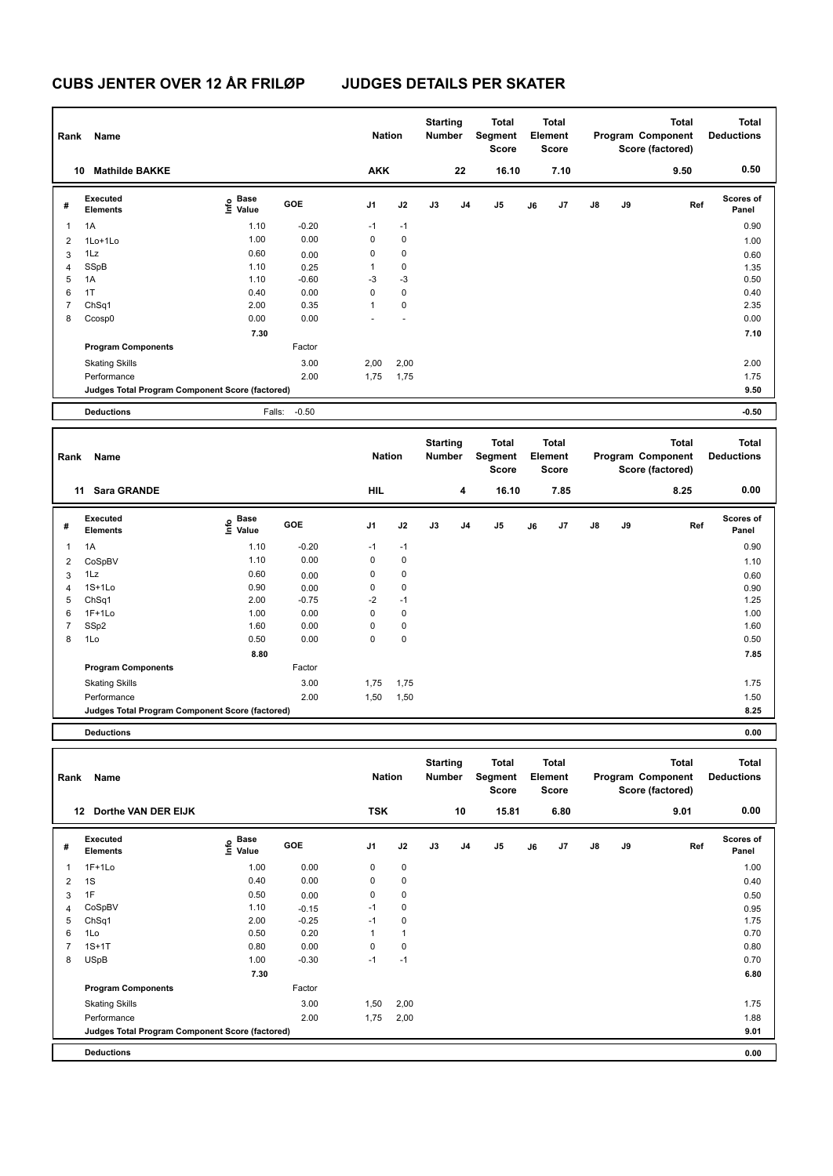| Rank           | Name                                            |                                      |         | <b>Nation</b>  |             | <b>Starting</b><br>Number        |                | <b>Total</b><br><b>Segment</b><br><b>Score</b> |    | <b>Total</b><br>Element<br><b>Score</b> |    |    | <b>Total</b><br>Program Component<br>Score (factored) | <b>Total</b><br><b>Deductions</b> |
|----------------|-------------------------------------------------|--------------------------------------|---------|----------------|-------------|----------------------------------|----------------|------------------------------------------------|----|-----------------------------------------|----|----|-------------------------------------------------------|-----------------------------------|
|                | 10 Mathilde BAKKE                               |                                      |         | <b>AKK</b>     |             |                                  | 22             | 16.10                                          |    | 7.10                                    |    |    | 9.50                                                  | 0.50                              |
| #              | Executed<br><b>Elements</b>                     | Base<br>e <sup>Base</sup><br>⊆ Value | GOE     | J <sub>1</sub> | J2          | J3                               | J <sub>4</sub> | J <sub>5</sub>                                 | J6 | J <sub>7</sub>                          | J8 | J9 | Ref                                                   | Scores of<br>Panel                |
| $\mathbf{1}$   | 1A                                              | 1.10                                 | $-0.20$ | $-1$           | $-1$        |                                  |                |                                                |    |                                         |    |    |                                                       | 0.90                              |
| $\overline{2}$ | 1Lo+1Lo                                         | 1.00                                 | 0.00    | 0              | 0           |                                  |                |                                                |    |                                         |    |    |                                                       | 1.00                              |
| 3              | 1Lz                                             | 0.60                                 | 0.00    | 0              | 0           |                                  |                |                                                |    |                                         |    |    |                                                       | 0.60                              |
| 4              | SSpB                                            | 1.10                                 | 0.25    | $\mathbf{1}$   | 0           |                                  |                |                                                |    |                                         |    |    |                                                       | 1.35                              |
| 5              | 1A                                              | 1.10                                 | $-0.60$ | $-3$           | $-3$        |                                  |                |                                                |    |                                         |    |    |                                                       | 0.50                              |
| 6              | 1T                                              | 0.40                                 | 0.00    | 0              | 0           |                                  |                |                                                |    |                                         |    |    |                                                       | 0.40                              |
| $\overline{7}$ | ChSq1                                           | 2.00                                 | 0.35    | 1              | 0           |                                  |                |                                                |    |                                         |    |    |                                                       | 2.35                              |
| 8              | Ccosp0                                          | 0.00                                 | 0.00    |                | ÷           |                                  |                |                                                |    |                                         |    |    |                                                       | 0.00                              |
|                |                                                 | 7.30                                 |         |                |             |                                  |                |                                                |    |                                         |    |    |                                                       | 7.10                              |
|                | <b>Program Components</b>                       |                                      | Factor  |                |             |                                  |                |                                                |    |                                         |    |    |                                                       |                                   |
|                | <b>Skating Skills</b>                           |                                      | 3.00    | 2,00           | 2,00        |                                  |                |                                                |    |                                         |    |    |                                                       | 2.00                              |
|                | Performance                                     |                                      | 2.00    | 1,75           | 1,75        |                                  |                |                                                |    |                                         |    |    |                                                       | 1.75                              |
|                | Judges Total Program Component Score (factored) |                                      |         |                |             |                                  |                |                                                |    |                                         |    |    |                                                       | 9.50                              |
|                |                                                 |                                      |         |                |             |                                  |                |                                                |    |                                         |    |    |                                                       |                                   |
|                | <b>Deductions</b>                               | Falls:                               | $-0.50$ |                |             |                                  |                |                                                |    |                                         |    |    |                                                       | $-0.50$                           |
|                |                                                 |                                      |         |                |             |                                  |                |                                                |    |                                         |    |    |                                                       |                                   |
| Rank           | Name                                            |                                      |         | <b>Nation</b>  |             | <b>Starting</b><br><b>Number</b> |                | <b>Total</b><br>Segment<br>Score               |    | <b>Total</b><br>Element<br><b>Score</b> |    |    | <b>Total</b><br>Program Component<br>Score (factored) | <b>Total</b><br><b>Deductions</b> |
|                | 11 Sara GRANDE                                  |                                      |         | <b>HIL</b>     |             |                                  | 4              | 16.10                                          |    | 7.85                                    |    |    | 8.25                                                  | 0.00                              |
| #              | Executed<br><b>Elements</b>                     | <b>Base</b>                          | GOE     | J1             | J2          | J3                               | J4             | J <sub>5</sub>                                 | J6 | J7                                      | J8 | J9 | Ref                                                   | Scores of<br>Panel                |
|                |                                                 | e Base<br>⊆ Value                    |         |                |             |                                  |                |                                                |    |                                         |    |    |                                                       |                                   |
| $\mathbf{1}$   | 1A                                              | 1.10                                 | $-0.20$ | $-1$           | $-1$        |                                  |                |                                                |    |                                         |    |    |                                                       | 0.90                              |
| $\overline{2}$ | CoSpBV                                          | 1.10                                 | 0.00    | 0              | $\pmb{0}$   |                                  |                |                                                |    |                                         |    |    |                                                       | 1.10                              |
| 3              | 1Lz                                             | 0.60                                 | 0.00    | 0              | 0           |                                  |                |                                                |    |                                         |    |    |                                                       | 0.60                              |
| $\overline{4}$ | $1S+1Lo$                                        | 0.90                                 | 0.00    | 0              | 0           |                                  |                |                                                |    |                                         |    |    |                                                       | 0.90                              |
| 5              | ChSq1                                           | 2.00                                 | $-0.75$ | $-2$           | $-1$        |                                  |                |                                                |    |                                         |    |    |                                                       | 1.25                              |
| 6              | $1F+1Lo$                                        | 1.00                                 | 0.00    | 0              | $\mathbf 0$ |                                  |                |                                                |    |                                         |    |    |                                                       | 1.00                              |
| $\overline{7}$ | SSp2                                            | 1.60                                 | 0.00    | 0<br>0         | $\pmb{0}$   |                                  |                |                                                |    |                                         |    |    |                                                       | 1.60                              |
| 8              | 1Lo                                             | 0.50                                 | 0.00    |                | 0           |                                  |                |                                                |    |                                         |    |    |                                                       | 0.50                              |
|                |                                                 | 8.80                                 |         |                |             |                                  |                |                                                |    |                                         |    |    |                                                       | 7.85                              |
|                | <b>Program Components</b>                       |                                      | Factor  |                |             |                                  |                |                                                |    |                                         |    |    |                                                       |                                   |
|                | <b>Skating Skills</b>                           |                                      | 3.00    | 1,75           | 1,75        |                                  |                |                                                |    |                                         |    |    |                                                       | 1.75                              |
|                | Performance                                     |                                      | 2.00    | 1,50           | 1,50        |                                  |                |                                                |    |                                         |    |    |                                                       | 1.50                              |
|                | Judges Total Program Component Score (factored) |                                      |         |                |             |                                  |                |                                                |    |                                         |    |    |                                                       | 8.25                              |

| Rank | Name                                            |                        |         | <b>Nation</b> |              | <b>Starting</b><br>Number |    | Total<br>Segment<br><b>Score</b> |    | <b>Total</b><br>Element<br><b>Score</b> |               |    | <b>Total</b><br>Program Component<br>Score (factored) | <b>Total</b><br><b>Deductions</b> |
|------|-------------------------------------------------|------------------------|---------|---------------|--------------|---------------------------|----|----------------------------------|----|-----------------------------------------|---------------|----|-------------------------------------------------------|-----------------------------------|
|      | Dorthe VAN DER EIJK<br>12                       |                        |         | <b>TSK</b>    |              |                           | 10 | 15.81                            |    | 6.80                                    |               |    | 9.01                                                  | 0.00                              |
| #    | Executed<br><b>Elements</b>                     | $\sum_{i=1}^{6}$ Value | GOE     | J1            | J2           | J3                        | J4 | J5                               | J6 | J7                                      | $\mathsf{J}8$ | J9 | Ref                                                   | <b>Scores of</b><br>Panel         |
| 1    | $1F+1Lo$                                        | 1.00                   | 0.00    | 0             | $\mathbf 0$  |                           |    |                                  |    |                                         |               |    |                                                       | 1.00                              |
| 2    | 1S                                              | 0.40                   | 0.00    | 0             | $\mathbf 0$  |                           |    |                                  |    |                                         |               |    |                                                       | 0.40                              |
| 3    | 1F                                              | 0.50                   | 0.00    | $\mathbf 0$   | $\mathbf 0$  |                           |    |                                  |    |                                         |               |    |                                                       | 0.50                              |
| 4    | CoSpBV                                          | 1.10                   | $-0.15$ | $-1$          | $\mathbf 0$  |                           |    |                                  |    |                                         |               |    |                                                       | 0.95                              |
| 5    | ChSq1                                           | 2.00                   | $-0.25$ | $-1$          | 0            |                           |    |                                  |    |                                         |               |    |                                                       | 1.75                              |
| 6    | 1Lo                                             | 0.50                   | 0.20    | 1             | $\mathbf{1}$ |                           |    |                                  |    |                                         |               |    |                                                       | 0.70                              |
| 7    | $1S+1T$                                         | 0.80                   | 0.00    | 0             | $\mathbf 0$  |                           |    |                                  |    |                                         |               |    |                                                       | 0.80                              |
| 8    | <b>USpB</b>                                     | 1.00                   | $-0.30$ | $-1$          | $-1$         |                           |    |                                  |    |                                         |               |    |                                                       | 0.70                              |
|      |                                                 | 7.30                   |         |               |              |                           |    |                                  |    |                                         |               |    |                                                       | 6.80                              |
|      | <b>Program Components</b>                       |                        | Factor  |               |              |                           |    |                                  |    |                                         |               |    |                                                       |                                   |
|      | <b>Skating Skills</b>                           |                        | 3.00    | 1,50          | 2,00         |                           |    |                                  |    |                                         |               |    |                                                       | 1.75                              |
|      | Performance                                     |                        | 2.00    | 1,75          | 2,00         |                           |    |                                  |    |                                         |               |    |                                                       | 1.88                              |
|      | Judges Total Program Component Score (factored) |                        |         |               |              |                           |    |                                  |    |                                         |               |    |                                                       | 9.01                              |
|      | <b>Deductions</b>                               |                        |         |               |              |                           |    |                                  |    |                                         |               |    |                                                       | 0.00                              |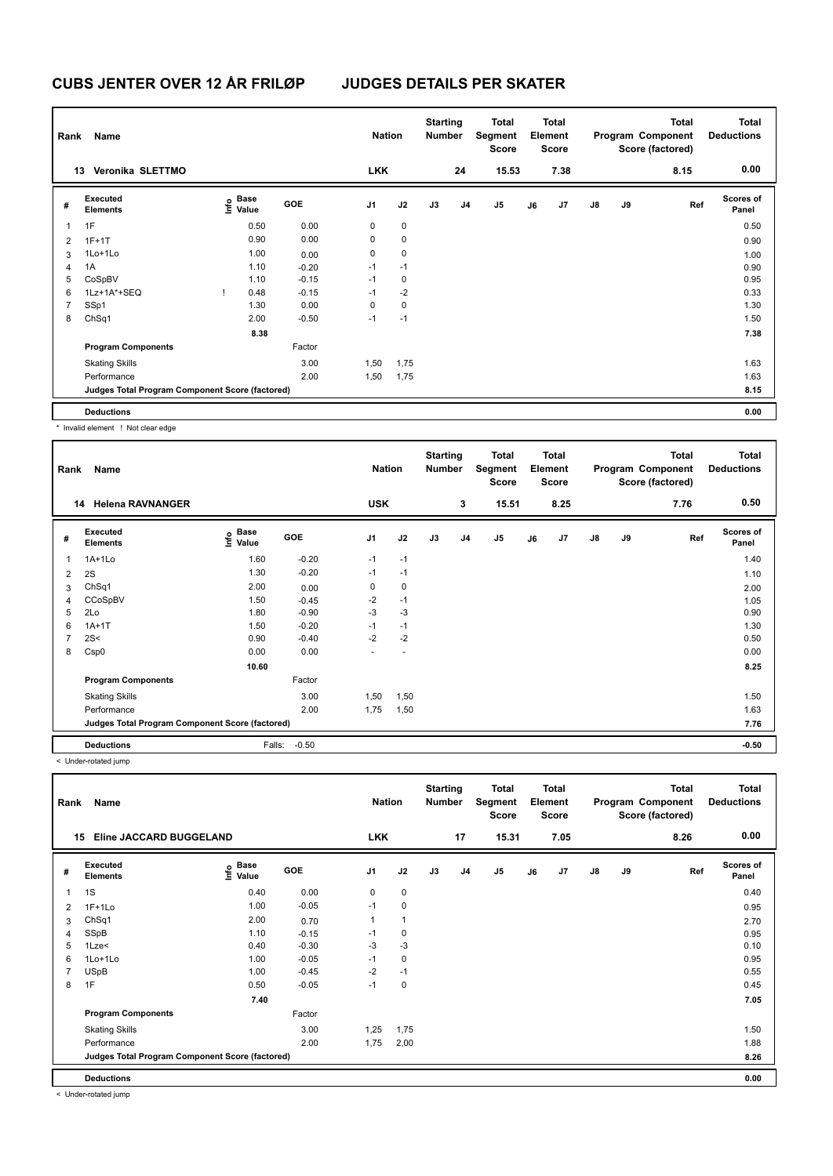| Rank           | Name                                            |                           |            | <b>Nation</b>  |             | <b>Starting</b><br><b>Number</b> |                | <b>Total</b><br>Segment<br><b>Score</b> |    | <b>Total</b><br>Element<br><b>Score</b> |               |    | <b>Total</b><br>Program Component<br>Score (factored) | <b>Total</b><br><b>Deductions</b> |
|----------------|-------------------------------------------------|---------------------------|------------|----------------|-------------|----------------------------------|----------------|-----------------------------------------|----|-----------------------------------------|---------------|----|-------------------------------------------------------|-----------------------------------|
| 13             | Veronika SLETTMO                                |                           |            | <b>LKK</b>     |             |                                  | 24             | 15.53                                   |    | 7.38                                    |               |    | 8.15                                                  | 0.00                              |
| #              | Executed<br><b>Elements</b>                     | Base<br>e Base<br>⊆ Value | <b>GOE</b> | J <sub>1</sub> | J2          | J3                               | J <sub>4</sub> | J5                                      | J6 | J7                                      | $\mathsf{J}8$ | J9 | Ref                                                   | <b>Scores of</b><br>Panel         |
| $\overline{1}$ | 1F                                              | 0.50                      | 0.00       | 0              | $\mathbf 0$ |                                  |                |                                         |    |                                         |               |    |                                                       | 0.50                              |
| $\overline{2}$ | $1F+1T$                                         | 0.90                      | 0.00       | 0              | $\mathbf 0$ |                                  |                |                                         |    |                                         |               |    |                                                       | 0.90                              |
| 3              | 1Lo+1Lo                                         | 1.00                      | 0.00       | 0              | $\mathbf 0$ |                                  |                |                                         |    |                                         |               |    |                                                       | 1.00                              |
| 4              | 1A                                              | 1.10                      | $-0.20$    | $-1$           | $-1$        |                                  |                |                                         |    |                                         |               |    |                                                       | 0.90                              |
| 5              | CoSpBV                                          | 1.10                      | $-0.15$    | $-1$           | 0           |                                  |                |                                         |    |                                         |               |    |                                                       | 0.95                              |
| 6              | $1Lz+1A^*+SEQ$                                  | 0.48                      | $-0.15$    | $-1$           | $-2$        |                                  |                |                                         |    |                                         |               |    |                                                       | 0.33                              |
| $\overline{7}$ | SSp1                                            | 1.30                      | 0.00       | 0              | $\mathbf 0$ |                                  |                |                                         |    |                                         |               |    |                                                       | 1.30                              |
| 8              | ChSq1                                           | 2.00                      | $-0.50$    | $-1$           | $-1$        |                                  |                |                                         |    |                                         |               |    |                                                       | 1.50                              |
|                |                                                 | 8.38                      |            |                |             |                                  |                |                                         |    |                                         |               |    |                                                       | 7.38                              |
|                | <b>Program Components</b>                       |                           | Factor     |                |             |                                  |                |                                         |    |                                         |               |    |                                                       |                                   |
|                | <b>Skating Skills</b>                           |                           | 3.00       | 1,50           | 1,75        |                                  |                |                                         |    |                                         |               |    |                                                       | 1.63                              |
|                | Performance                                     |                           | 2.00       | 1,50           | 1,75        |                                  |                |                                         |    |                                         |               |    |                                                       | 1.63                              |
|                | Judges Total Program Component Score (factored) |                           |            |                |             |                                  |                |                                         |    |                                         |               |    |                                                       | 8.15                              |
|                | <b>Deductions</b>                               |                           |            |                |             |                                  |                |                                         |    |                                         |               |    |                                                       | 0.00                              |

\* Invalid element ! Not clear edge

**Total Deductions Total Program Component Score (factored) Total Element Score Total Segment Score Starting Rank Name Nation Number # Executed Elements Base Value GOE J1 J2 J3 J4 J5 J6 J7 J8 J9 Scores of Panel** 1 1A+1Lo 1.60 -0.20 -1 -1 **Ref**  المساحة المساحة المساحة المساحة المساحة المساحة المساحة المساحة المساحة المساحة المساحة المساحة المساحة المساح<br>1.40 International Media 1.40 - 0.20 - 1 - 1<br>1.41Lo 1.40 - 0.20 - 1 - 1  **14 Helena RAVNANGER USK 3 15.51 8.25 7.76 0.50** 2 2S 1.30 -0.20 -1 -1 1.10  $3$  ChSq1 2.00  $2.00$  0.00 0 0 0  $2.00$ 4 CCoSpBV 1.50 -0.45 -2 -1 -1 -2 -1 -1 -2 -1 -1 -1.05 5 2Lo 1.80 -0.90 -3 -3 -3 0.90 -3 -3 0.90 6 1A+1T 1.50 -0.20 -1 -1 1.30  $7 \quad 2$ S< 0.50  $0.90$   $-0.40$   $-2$   $-2$ 8 Csp0 0.00 0.00 - - 0.00  **10.60 8.25 Program Components**  Skating Skills 1,50 1,50 Factor 3.00 1.50 Performance 2.00 1,75 1,50 1.63 **Deductions** Falls: -0.50 **-0.50 Judges Total Program Component Score (factored) 7.76**

< Under-rotated jump

| Rank | Name                                            |                                         |            | <b>Nation</b>  |              | <b>Starting</b><br><b>Number</b> |                | <b>Total</b><br>Segment<br>Score |    | <b>Total</b><br>Element<br><b>Score</b> |               |    | <b>Total</b><br>Program Component<br>Score (factored) | <b>Total</b><br><b>Deductions</b> |
|------|-------------------------------------------------|-----------------------------------------|------------|----------------|--------------|----------------------------------|----------------|----------------------------------|----|-----------------------------------------|---------------|----|-------------------------------------------------------|-----------------------------------|
|      | Eline JACCARD BUGGELAND<br>15                   |                                         |            | <b>LKK</b>     |              |                                  | 17             | 15.31                            |    | 7.05                                    |               |    | 8.26                                                  | 0.00                              |
| #    | Executed<br><b>Elements</b>                     | $\mathbf{e}$ Base<br>$\mathbf{e}$ Value | <b>GOE</b> | J <sub>1</sub> | J2           | J3                               | J <sub>4</sub> | J5                               | J6 | J7                                      | $\mathsf{J}8$ | J9 | Ref                                                   | <b>Scores of</b><br>Panel         |
| 1    | 1S                                              | 0.40                                    | 0.00       | $\mathbf 0$    | $\pmb{0}$    |                                  |                |                                  |    |                                         |               |    |                                                       | 0.40                              |
| 2    | $1F+1Lo$                                        | 1.00                                    | $-0.05$    | $-1$           | $\pmb{0}$    |                                  |                |                                  |    |                                         |               |    |                                                       | 0.95                              |
| 3    | ChSq1                                           | 2.00                                    | 0.70       | 1              | $\mathbf{1}$ |                                  |                |                                  |    |                                         |               |    |                                                       | 2.70                              |
| 4    | SSpB                                            | 1.10                                    | $-0.15$    | $-1$           | 0            |                                  |                |                                  |    |                                         |               |    |                                                       | 0.95                              |
| 5    | 1Lze<                                           | 0.40                                    | $-0.30$    | -3             | $-3$         |                                  |                |                                  |    |                                         |               |    |                                                       | 0.10                              |
| 6    | 1Lo+1Lo                                         | 1.00                                    | $-0.05$    | $-1$           | 0            |                                  |                |                                  |    |                                         |               |    |                                                       | 0.95                              |
|      | <b>USpB</b>                                     | 1.00                                    | $-0.45$    | $-2$           | $-1$         |                                  |                |                                  |    |                                         |               |    |                                                       | 0.55                              |
| 8    | 1F                                              | 0.50                                    | $-0.05$    | $-1$           | $\pmb{0}$    |                                  |                |                                  |    |                                         |               |    |                                                       | 0.45                              |
|      |                                                 | 7.40                                    |            |                |              |                                  |                |                                  |    |                                         |               |    |                                                       | 7.05                              |
|      | <b>Program Components</b>                       |                                         | Factor     |                |              |                                  |                |                                  |    |                                         |               |    |                                                       |                                   |
|      | <b>Skating Skills</b>                           |                                         | 3.00       | 1,25           | 1,75         |                                  |                |                                  |    |                                         |               |    |                                                       | 1.50                              |
|      | Performance                                     |                                         | 2.00       | 1,75           | 2,00         |                                  |                |                                  |    |                                         |               |    |                                                       | 1.88                              |
|      | Judges Total Program Component Score (factored) |                                         |            |                |              |                                  |                |                                  |    |                                         |               |    |                                                       | 8.26                              |
|      | <b>Deductions</b>                               |                                         |            |                |              |                                  |                |                                  |    |                                         |               |    |                                                       | 0.00                              |

< Under-rotated jump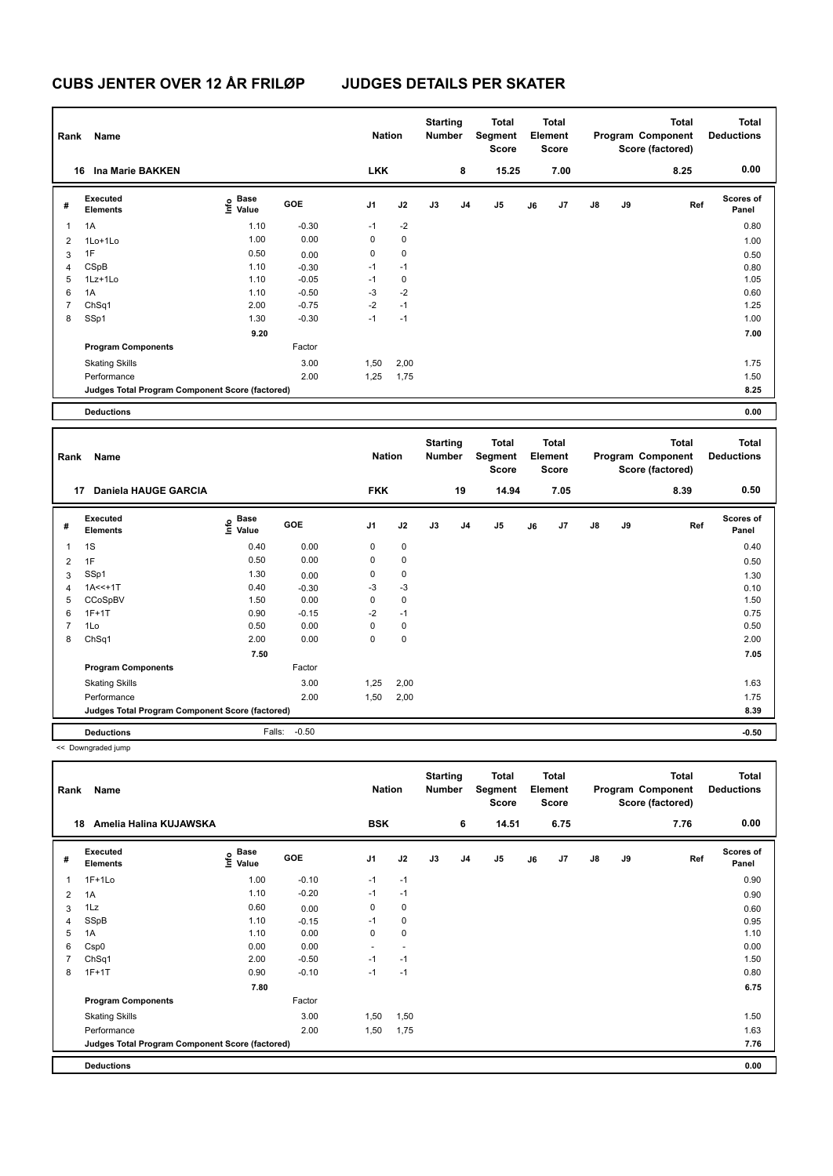| Rank           | Name                                            |                              |         | <b>Nation</b> |             | <b>Starting</b><br><b>Number</b> |    | <b>Total</b><br>Segment<br><b>Score</b> |    | <b>Total</b><br>Element<br>Score |    |    | <b>Total</b><br>Program Component<br>Score (factored) | <b>Total</b><br><b>Deductions</b> |
|----------------|-------------------------------------------------|------------------------------|---------|---------------|-------------|----------------------------------|----|-----------------------------------------|----|----------------------------------|----|----|-------------------------------------------------------|-----------------------------------|
|                | 16 Ina Marie BAKKEN                             |                              |         | <b>LKK</b>    |             |                                  | 8  | 15.25                                   |    | 7.00                             |    |    | 8.25                                                  | 0.00                              |
| #              | Executed<br><b>Elements</b>                     | <b>Base</b><br>١nfo<br>Value | GOE     | J1            | J2          | J3                               | J4 | J5                                      | J6 | J7                               | J8 | J9 | Ref                                                   | <b>Scores of</b><br>Panel         |
| $\mathbf{1}$   | 1A                                              | 1.10                         | $-0.30$ | $-1$          | $-2$        |                                  |    |                                         |    |                                  |    |    |                                                       | 0.80                              |
| $\overline{2}$ | 1Lo+1Lo                                         | 1.00                         | 0.00    | 0             | $\mathbf 0$ |                                  |    |                                         |    |                                  |    |    |                                                       | 1.00                              |
| 3              | 1F                                              | 0.50                         | 0.00    | 0             | 0           |                                  |    |                                         |    |                                  |    |    |                                                       | 0.50                              |
| 4              | CSpB                                            | 1.10                         | $-0.30$ | $-1$          | $-1$        |                                  |    |                                         |    |                                  |    |    |                                                       | 0.80                              |
| 5              | 1Lz+1Lo                                         | 1.10                         | $-0.05$ | $-1$          | $\mathbf 0$ |                                  |    |                                         |    |                                  |    |    |                                                       | 1.05                              |
| 6              | 1A                                              | 1.10                         | $-0.50$ | $-3$          | $-2$        |                                  |    |                                         |    |                                  |    |    |                                                       | 0.60                              |
| $\overline{7}$ | ChSq1                                           | 2.00                         | $-0.75$ | $-2$          | $-1$        |                                  |    |                                         |    |                                  |    |    |                                                       | 1.25                              |
| 8              | SSp1                                            | 1.30                         | $-0.30$ | $-1$          | $-1$        |                                  |    |                                         |    |                                  |    |    |                                                       | 1.00                              |
|                |                                                 | 9.20                         |         |               |             |                                  |    |                                         |    |                                  |    |    |                                                       | 7.00                              |
|                | <b>Program Components</b>                       |                              | Factor  |               |             |                                  |    |                                         |    |                                  |    |    |                                                       |                                   |
|                | <b>Skating Skills</b>                           |                              | 3.00    | 1,50          | 2,00        |                                  |    |                                         |    |                                  |    |    |                                                       | 1.75                              |
|                | Performance                                     |                              | 2.00    | 1,25          | 1,75        |                                  |    |                                         |    |                                  |    |    |                                                       | 1.50                              |
|                | Judges Total Program Component Score (factored) |                              |         |               |             |                                  |    |                                         |    |                                  |    |    |                                                       | 8.25                              |
|                | <b>Deductions</b>                               |                              |         |               |             |                                  |    |                                         |    |                                  |    |    |                                                       | 0.00                              |
|                |                                                 |                              |         |               |             |                                  |    |                                         |    |                                  |    |    |                                                       |                                   |
|                |                                                 |                              |         |               |             |                                  |    |                                         |    |                                  |    |    |                                                       |                                   |
|                |                                                 |                              |         |               |             | <b>Starting</b>                  |    | Total                                   |    | <b>Total</b>                     |    |    | <b>Total</b>                                          | <b>Total</b>                      |
| Rank           | Name                                            |                              |         | <b>Nation</b> |             | <b>Number</b>                    |    | Segment<br><b>Score</b>                 |    | Element<br><b>Score</b>          |    |    | Program Component<br>Score (factored)                 | <b>Deductions</b>                 |
|                | 17 Daniela HAUGE GARCIA                         |                              |         | <b>FKK</b>    |             |                                  | 19 | 14.94                                   |    | 7.05                             |    |    | 8.39                                                  | 0.50                              |
| #              | Executed<br><b>Elements</b>                     | <b>Base</b><br>١nfo<br>Value | GOE     | J1            | J2          | J3                               | J4 | J <sub>5</sub>                          | J6 | J7                               | J8 | J9 | Ref                                                   | Scores of<br>Panel                |
| $\mathbf{1}$   | 1S                                              | 0.40                         | 0.00    | 0             | $\pmb{0}$   |                                  |    |                                         |    |                                  |    |    |                                                       | 0.40                              |
| $\overline{2}$ | 1F                                              | 0.50                         | 0.00    | 0             | 0           |                                  |    |                                         |    |                                  |    |    |                                                       | 0.50                              |
| 3              | SSp1                                            | 1.30                         | 0.00    | 0             | 0           |                                  |    |                                         |    |                                  |    |    |                                                       | 1.30                              |
| $\overline{4}$ | $1A < +1T$                                      | 0.40                         | $-0.30$ | $-3$          | $-3$        |                                  |    |                                         |    |                                  |    |    |                                                       | 0.10                              |
| 5              | CCoSpBV                                         | 1.50                         | 0.00    | 0             | $\mathbf 0$ |                                  |    |                                         |    |                                  |    |    |                                                       | 1.50                              |
| 6              | $1F+1T$                                         | 0.90                         | $-0.15$ | $-2$          | $-1$        |                                  |    |                                         |    |                                  |    |    |                                                       | 0.75                              |
| $\overline{7}$ | 1Lo                                             | 0.50                         | 0.00    | 0             | 0           |                                  |    |                                         |    |                                  |    |    |                                                       | 0.50                              |
| 8              | ChSq1                                           | 2.00                         | 0.00    | 0             | $\mathbf 0$ |                                  |    |                                         |    |                                  |    |    |                                                       | 2.00                              |
|                |                                                 | 7.50                         |         |               |             |                                  |    |                                         |    |                                  |    |    |                                                       | 7.05                              |
|                | <b>Program Components</b>                       |                              | Factor  |               |             |                                  |    |                                         |    |                                  |    |    |                                                       |                                   |
|                | <b>Skating Skills</b>                           |                              | 3.00    | 1,25          | 2,00        |                                  |    |                                         |    |                                  |    |    |                                                       | 1.63                              |
|                | Performance                                     |                              | 2.00    | 1,50          | 2,00        |                                  |    |                                         |    |                                  |    |    |                                                       | 1.75                              |

**Deductions** Falls: -0.50 **-0.50**

<< Downgraded jump

| Rank           | Name                                            |                              |            | <b>Nation</b>  |                | <b>Starting</b><br><b>Number</b> |                | <b>Total</b><br>Segment<br>Score |    | <b>Total</b><br>Element<br><b>Score</b> |               |    | <b>Total</b><br>Program Component<br>Score (factored) | Total<br><b>Deductions</b> |
|----------------|-------------------------------------------------|------------------------------|------------|----------------|----------------|----------------------------------|----------------|----------------------------------|----|-----------------------------------------|---------------|----|-------------------------------------------------------|----------------------------|
| 18             | Amelia Halina KUJAWSKA                          |                              |            | <b>BSK</b>     |                |                                  | 6              | 14.51                            |    | 6.75                                    |               |    | 7.76                                                  | 0.00                       |
| #              | Executed<br>Elements                            | <b>Base</b><br>lnfo<br>Value | <b>GOE</b> | J <sub>1</sub> | J2             | J3                               | J <sub>4</sub> | J <sub>5</sub>                   | J6 | J7                                      | $\mathsf{J}8$ | J9 | Ref                                                   | Scores of<br>Panel         |
| 1              | $1F+1Lo$                                        | 1.00                         | $-0.10$    | $-1$           | $-1$           |                                  |                |                                  |    |                                         |               |    |                                                       | 0.90                       |
| $\overline{2}$ | 1A                                              | 1.10                         | $-0.20$    | $-1$           | $-1$           |                                  |                |                                  |    |                                         |               |    |                                                       | 0.90                       |
| 3              | 1Lz                                             | 0.60                         | 0.00       | 0              | 0              |                                  |                |                                  |    |                                         |               |    |                                                       | 0.60                       |
| 4              | SSpB                                            | 1.10                         | $-0.15$    | $-1$           | 0              |                                  |                |                                  |    |                                         |               |    |                                                       | 0.95                       |
| 5              | 1A                                              | 1.10                         | 0.00       | 0              | $\mathbf 0$    |                                  |                |                                  |    |                                         |               |    |                                                       | 1.10                       |
| 6              | Csp0                                            | 0.00                         | 0.00       | ٠              | $\overline{a}$ |                                  |                |                                  |    |                                         |               |    |                                                       | 0.00                       |
| $\overline{7}$ | ChSq1                                           | 2.00                         | $-0.50$    | $-1$           | $-1$           |                                  |                |                                  |    |                                         |               |    |                                                       | 1.50                       |
| 8              | $1F+1T$                                         | 0.90                         | $-0.10$    | $-1$           | $-1$           |                                  |                |                                  |    |                                         |               |    |                                                       | 0.80                       |
|                |                                                 | 7.80                         |            |                |                |                                  |                |                                  |    |                                         |               |    |                                                       | 6.75                       |
|                | <b>Program Components</b>                       |                              | Factor     |                |                |                                  |                |                                  |    |                                         |               |    |                                                       |                            |
|                | <b>Skating Skills</b>                           |                              | 3.00       | 1,50           | 1,50           |                                  |                |                                  |    |                                         |               |    |                                                       | 1.50                       |
|                | Performance                                     |                              | 2.00       | 1,50           | 1,75           |                                  |                |                                  |    |                                         |               |    |                                                       | 1.63                       |
|                | Judges Total Program Component Score (factored) |                              |            |                |                |                                  |                |                                  |    |                                         |               |    |                                                       | 7.76                       |
|                | <b>Deductions</b>                               |                              |            |                |                |                                  |                |                                  |    |                                         |               |    |                                                       | 0.00                       |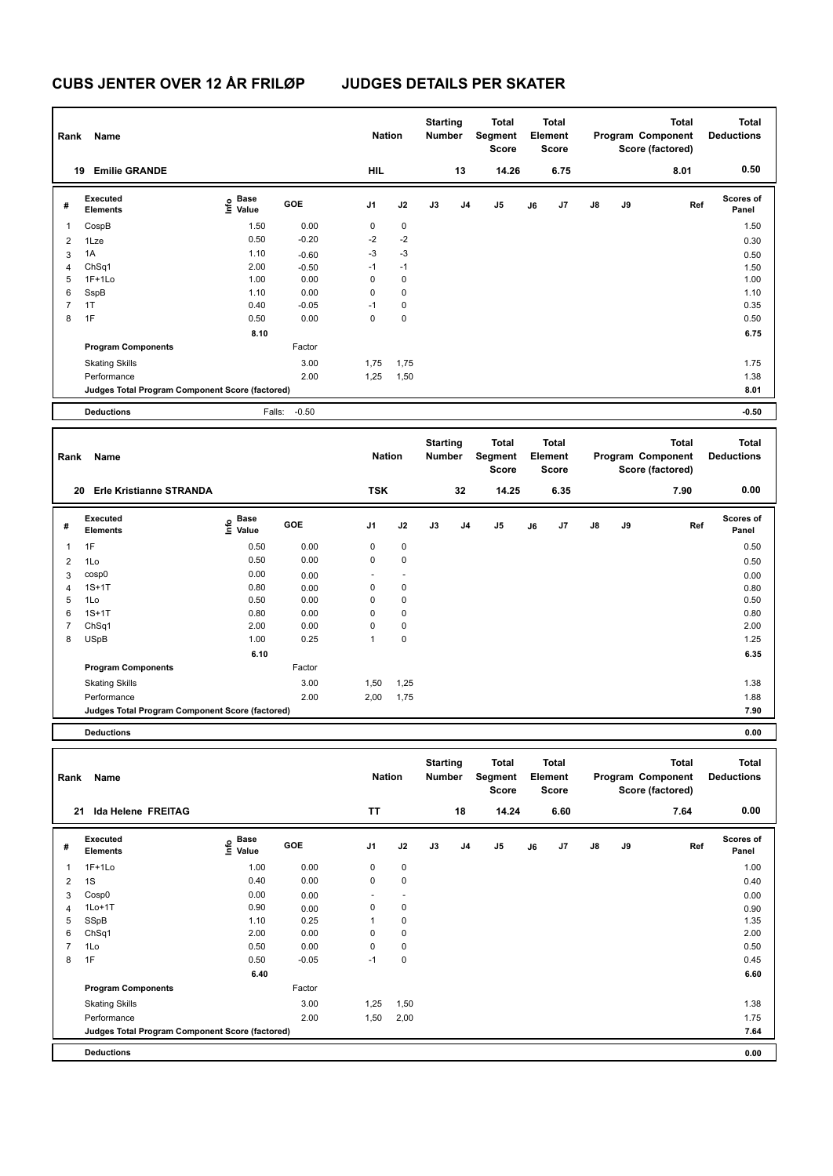| Rank           | Name                                            |                                  |              | <b>Nation</b>  |              | <b>Starting</b><br>Number        |    | <b>Total</b><br><b>Segment</b><br>Score |    | <b>Total</b><br>Element<br><b>Score</b> |    |    | <b>Total</b><br>Program Component<br>Score (factored) | <b>Total</b><br><b>Deductions</b> |
|----------------|-------------------------------------------------|----------------------------------|--------------|----------------|--------------|----------------------------------|----|-----------------------------------------|----|-----------------------------------------|----|----|-------------------------------------------------------|-----------------------------------|
|                | 19 Emilie GRANDE                                |                                  |              | <b>HIL</b>     |              |                                  | 13 | 14.26                                   |    | 6.75                                    |    |    | 8.01                                                  | 0.50                              |
| #              | Executed<br><b>Elements</b>                     | <b>Base</b><br>e Base<br>⊆ Value | GOE          | J1             | J2           | J3                               | J4 | J <sub>5</sub>                          | J6 | J7                                      | J8 | J9 | Ref                                                   | <b>Scores of</b><br>Panel         |
| $\mathbf{1}$   | CospB                                           | 1.50                             | 0.00         | 0              | $\pmb{0}$    |                                  |    |                                         |    |                                         |    |    |                                                       | 1.50                              |
| $\overline{2}$ | 1Lze                                            | 0.50                             | $-0.20$      | $-2$           | $-2$         |                                  |    |                                         |    |                                         |    |    |                                                       | 0.30                              |
| 3              | 1A                                              | 1.10                             | $-0.60$      | $-3$           | $-3$         |                                  |    |                                         |    |                                         |    |    |                                                       | 0.50                              |
| 4              | ChSq1                                           | 2.00                             | $-0.50$      | $-1$           | $-1$         |                                  |    |                                         |    |                                         |    |    |                                                       | 1.50                              |
| 5              | $1F+1Lo$                                        | 1.00                             | 0.00         | $\mathbf 0$    | 0            |                                  |    |                                         |    |                                         |    |    |                                                       | 1.00                              |
| 6              | SspB                                            | 1.10                             | 0.00         | $\mathbf 0$    | 0            |                                  |    |                                         |    |                                         |    |    |                                                       | 1.10                              |
| $\overline{7}$ | 1T                                              | 0.40                             | $-0.05$      | $-1$           | 0            |                                  |    |                                         |    |                                         |    |    |                                                       | 0.35                              |
| 8              | 1F                                              | 0.50                             | 0.00         | $\mathbf 0$    | $\pmb{0}$    |                                  |    |                                         |    |                                         |    |    |                                                       | 0.50                              |
|                |                                                 | 8.10                             |              |                |              |                                  |    |                                         |    |                                         |    |    |                                                       | 6.75                              |
|                | <b>Program Components</b>                       |                                  | Factor       |                |              |                                  |    |                                         |    |                                         |    |    |                                                       |                                   |
|                | <b>Skating Skills</b>                           |                                  | 3.00         | 1,75           | 1,75         |                                  |    |                                         |    |                                         |    |    |                                                       | 1.75                              |
|                | Performance                                     |                                  | 2.00         | 1,25           | 1,50         |                                  |    |                                         |    |                                         |    |    |                                                       | 1.38                              |
|                | Judges Total Program Component Score (factored) |                                  |              |                |              |                                  |    |                                         |    |                                         |    |    |                                                       | 8.01                              |
|                | <b>Deductions</b>                               | Falls:                           | $-0.50$      |                |              |                                  |    |                                         |    |                                         |    |    |                                                       | $-0.50$                           |
|                |                                                 |                                  |              |                |              |                                  |    |                                         |    |                                         |    |    |                                                       |                                   |
|                |                                                 |                                  |              |                |              |                                  |    |                                         |    |                                         |    |    |                                                       |                                   |
| Rank           | Name                                            |                                  |              | <b>Nation</b>  |              | <b>Starting</b><br><b>Number</b> |    | <b>Total</b><br>Segment<br><b>Score</b> |    | <b>Total</b><br>Element<br><b>Score</b> |    |    | <b>Total</b><br>Program Component<br>Score (factored) | <b>Total</b><br><b>Deductions</b> |
|                | 20 Erle Kristianne STRANDA                      |                                  |              | <b>TSK</b>     |              |                                  | 32 | 14.25                                   |    | 6.35                                    |    |    | 7.90                                                  | 0.00                              |
| #              | Executed<br><b>Elements</b>                     | $rac{e}{E}$ Base                 | GOE          | J <sub>1</sub> | J2           | J3                               | J4 | J5                                      | J6 | J7                                      | J8 | J9 | Ref                                                   | Scores of<br>Panel                |
| $\mathbf{1}$   | 1F                                              | 0.50                             | 0.00         | 0              | 0            |                                  |    |                                         |    |                                         |    |    |                                                       | 0.50                              |
| $\overline{2}$ | 1Lo                                             | 0.50                             | 0.00         | $\mathbf 0$    | $\mathbf 0$  |                                  |    |                                         |    |                                         |    |    |                                                       | 0.50                              |
|                | cosp0                                           | 0.00                             |              |                |              |                                  |    |                                         |    |                                         |    |    |                                                       |                                   |
| 3<br>4         | $1S+1T$                                         | 0.80                             | 0.00         | 0              | 0            |                                  |    |                                         |    |                                         |    |    |                                                       | 0.00                              |
| 5              | 1Lo                                             | 0.50                             | 0.00<br>0.00 | $\mathbf 0$    | 0            |                                  |    |                                         |    |                                         |    |    |                                                       | 0.80<br>0.50                      |
| 6              | $1S+1T$                                         | 0.80                             | 0.00         | $\mathbf 0$    | $\mathbf 0$  |                                  |    |                                         |    |                                         |    |    |                                                       | 0.80                              |
| $\overline{7}$ | ChSq1                                           | 2.00                             | 0.00         | $\mathbf 0$    | $\pmb{0}$    |                                  |    |                                         |    |                                         |    |    |                                                       | 2.00                              |
| 8              | <b>USpB</b>                                     | 1.00                             | 0.25         | $\mathbf{1}$   | 0            |                                  |    |                                         |    |                                         |    |    |                                                       | 1.25                              |
|                |                                                 | 6.10                             |              |                |              |                                  |    |                                         |    |                                         |    |    |                                                       | 6.35                              |
|                | <b>Program Components</b>                       |                                  | Factor       |                |              |                                  |    |                                         |    |                                         |    |    |                                                       |                                   |
|                |                                                 |                                  | 3.00         |                |              |                                  |    |                                         |    |                                         |    |    |                                                       | 1.38                              |
|                | <b>Skating Skills</b><br>Performance            |                                  | 2.00         | 1,50<br>2,00   | 1,25<br>1,75 |                                  |    |                                         |    |                                         |    |    |                                                       | 1.88                              |

**Deductions 0.00**

| Rank           | Name                                            |                       |         | <b>Nation</b>  |             | <b>Starting</b><br><b>Number</b> |                | Total<br>Segment<br><b>Score</b> |    | <b>Total</b><br>Element<br><b>Score</b> |               |    | <b>Total</b><br>Program Component<br>Score (factored) | <b>Total</b><br><b>Deductions</b> |
|----------------|-------------------------------------------------|-----------------------|---------|----------------|-------------|----------------------------------|----------------|----------------------------------|----|-----------------------------------------|---------------|----|-------------------------------------------------------|-----------------------------------|
| 21             | Ida Helene FREITAG                              |                       |         | <b>TT</b>      |             |                                  | 18             | 14.24                            |    | 6.60                                    |               |    | 7.64                                                  | 0.00                              |
| #              | Executed<br><b>Elements</b>                     | Base<br>lnfo<br>Value | GOE     | J <sub>1</sub> | J2          | J3                               | J <sub>4</sub> | J5                               | J6 | J <sub>7</sub>                          | $\mathsf{J}8$ | J9 | Ref                                                   | Scores of<br>Panel                |
| 1              | $1F+1Lo$                                        | 1.00                  | 0.00    | 0              | $\mathbf 0$ |                                  |                |                                  |    |                                         |               |    |                                                       | 1.00                              |
| $\overline{2}$ | 1S                                              | 0.40                  | 0.00    | 0              | $\mathbf 0$ |                                  |                |                                  |    |                                         |               |    |                                                       | 0.40                              |
| 3              | Cosp0                                           | 0.00                  | 0.00    |                | ٠           |                                  |                |                                  |    |                                         |               |    |                                                       | 0.00                              |
| 4              | $1Lo+1T$                                        | 0.90                  | 0.00    | 0              | 0           |                                  |                |                                  |    |                                         |               |    |                                                       | 0.90                              |
| 5              | SSpB                                            | 1.10                  | 0.25    | 1              | 0           |                                  |                |                                  |    |                                         |               |    |                                                       | 1.35                              |
| 6              | Ch <sub>Sq1</sub>                               | 2.00                  | 0.00    | 0              | 0           |                                  |                |                                  |    |                                         |               |    |                                                       | 2.00                              |
| 7              | 1Lo                                             | 0.50                  | 0.00    | 0              | $\mathbf 0$ |                                  |                |                                  |    |                                         |               |    |                                                       | 0.50                              |
| 8              | 1F                                              | 0.50                  | $-0.05$ | $-1$           | 0           |                                  |                |                                  |    |                                         |               |    |                                                       | 0.45                              |
|                |                                                 | 6.40                  |         |                |             |                                  |                |                                  |    |                                         |               |    |                                                       | 6.60                              |
|                | <b>Program Components</b>                       |                       | Factor  |                |             |                                  |                |                                  |    |                                         |               |    |                                                       |                                   |
|                | <b>Skating Skills</b>                           |                       | 3.00    | 1,25           | 1,50        |                                  |                |                                  |    |                                         |               |    |                                                       | 1.38                              |
|                | Performance                                     |                       | 2.00    | 1,50           | 2,00        |                                  |                |                                  |    |                                         |               |    |                                                       | 1.75                              |
|                | Judges Total Program Component Score (factored) |                       |         |                |             |                                  |                |                                  |    |                                         |               |    |                                                       | 7.64                              |
|                | <b>Deductions</b>                               |                       |         |                |             |                                  |                |                                  |    |                                         |               |    |                                                       | 0.00                              |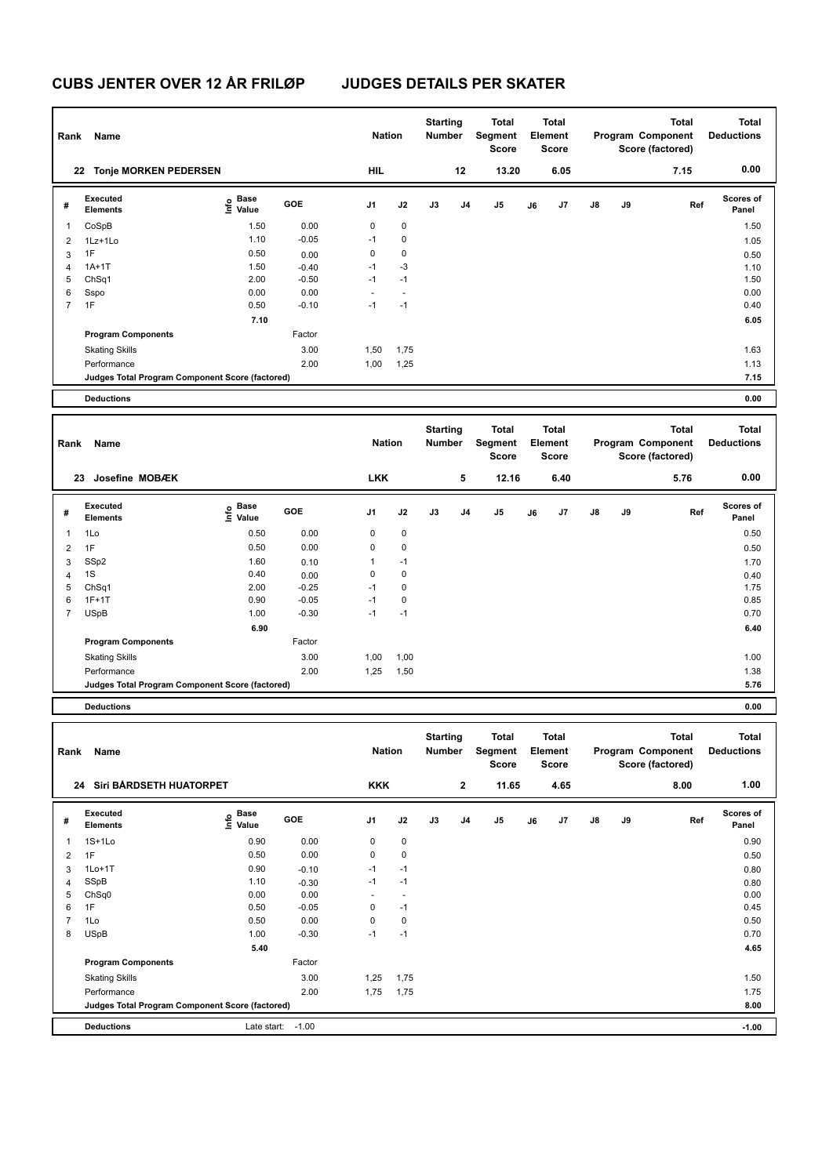| Rank           | Name                                            |                                           |                 | <b>Nation</b> |             | <b>Starting</b><br>Number        |                | <b>Total</b><br>Segment<br><b>Score</b> |    | <b>Total</b><br>Element<br><b>Score</b> |    |    | <b>Total</b><br>Program Component<br>Score (factored) | <b>Total</b><br><b>Deductions</b> |
|----------------|-------------------------------------------------|-------------------------------------------|-----------------|---------------|-------------|----------------------------------|----------------|-----------------------------------------|----|-----------------------------------------|----|----|-------------------------------------------------------|-----------------------------------|
|                | 22 Tonje MORKEN PEDERSEN                        |                                           |                 | <b>HIL</b>    |             | 12                               |                | 13.20                                   |    | 6.05                                    |    |    | 7.15                                                  | 0.00                              |
| #              | Executed<br><b>Elements</b>                     | e Base<br>⊆ Value                         | GOE             | J1            | J2          | J3                               | J4             | J5                                      | J6 | J7                                      | J8 | J9 | Ref                                                   | Scores of<br>Panel                |
| 1              | CoSpB                                           | 1.50                                      | 0.00            | $\pmb{0}$     | $\pmb{0}$   |                                  |                |                                         |    |                                         |    |    |                                                       | 1.50                              |
| $\overline{2}$ | 1Lz+1Lo                                         | 1.10                                      | $-0.05$         | $-1$          | $\pmb{0}$   |                                  |                |                                         |    |                                         |    |    |                                                       | 1.05                              |
| 3              | 1F                                              | 0.50                                      | 0.00            | $\mathbf 0$   | $\pmb{0}$   |                                  |                |                                         |    |                                         |    |    |                                                       | 0.50                              |
| 4              | $1A+1T$                                         | 1.50                                      | $-0.40$         | $-1$          | $-3$        |                                  |                |                                         |    |                                         |    |    |                                                       | 1.10                              |
| 5              | ChSq1                                           | 2.00                                      | $-0.50$         | $-1$          | $-1$        |                                  |                |                                         |    |                                         |    |    |                                                       | 1.50                              |
| 6              | Sspo                                            | 0.00                                      | 0.00            | ÷,            | ÷,          |                                  |                |                                         |    |                                         |    |    |                                                       | 0.00                              |
| $\overline{7}$ | 1F                                              | 0.50                                      | $-0.10$         | $-1$          | $-1$        |                                  |                |                                         |    |                                         |    |    |                                                       | 0.40                              |
|                |                                                 | 7.10                                      |                 |               |             |                                  |                |                                         |    |                                         |    |    |                                                       | 6.05                              |
|                | <b>Program Components</b>                       |                                           | Factor          |               |             |                                  |                |                                         |    |                                         |    |    |                                                       |                                   |
|                |                                                 |                                           |                 |               |             |                                  |                |                                         |    |                                         |    |    |                                                       |                                   |
|                | <b>Skating Skills</b>                           |                                           | 3.00            | 1,50          | 1,75        |                                  |                |                                         |    |                                         |    |    |                                                       | 1.63                              |
|                | Performance                                     |                                           | 2.00            | 1,00          | 1,25        |                                  |                |                                         |    |                                         |    |    |                                                       | 1.13                              |
|                | Judges Total Program Component Score (factored) |                                           |                 |               |             |                                  |                |                                         |    |                                         |    |    |                                                       | 7.15                              |
|                | <b>Deductions</b>                               |                                           |                 |               |             |                                  |                |                                         |    |                                         |    |    |                                                       | 0.00                              |
|                |                                                 |                                           |                 |               |             |                                  |                |                                         |    |                                         |    |    |                                                       |                                   |
|                |                                                 |                                           |                 |               |             | <b>Starting</b>                  |                | <b>Total</b>                            |    | <b>Total</b>                            |    |    | <b>Total</b>                                          | <b>Total</b>                      |
| Rank           | Name                                            |                                           |                 | <b>Nation</b> |             | <b>Number</b>                    |                | Segment                                 |    | Element                                 |    |    | Program Component                                     | <b>Deductions</b>                 |
|                |                                                 |                                           |                 |               |             |                                  |                | <b>Score</b>                            |    | Score                                   |    |    | Score (factored)                                      |                                   |
|                |                                                 |                                           |                 |               |             |                                  |                |                                         |    |                                         |    |    |                                                       |                                   |
|                |                                                 |                                           |                 |               |             |                                  |                |                                         |    |                                         |    |    |                                                       |                                   |
|                | 23 Josefine MOBÆK                               |                                           |                 | <b>LKK</b>    |             |                                  | 5              | 12.16                                   |    | 6.40                                    |    |    | 5.76                                                  | 0.00                              |
| #              | <b>Executed</b><br><b>Elements</b>              | $\frac{e}{E}$ Base<br>$\frac{e}{E}$ Value | <b>GOE</b>      | J1            | J2          | J3                               | J <sub>4</sub> | J5                                      | J6 | J7                                      | J8 | J9 | Ref                                                   | <b>Scores of</b><br>Panel         |
| $\mathbf{1}$   | 1Lo                                             | 0.50                                      | 0.00            | $\mathbf 0$   | $\mathbf 0$ |                                  |                |                                         |    |                                         |    |    |                                                       | 0.50                              |
| $\overline{c}$ | 1F                                              | 0.50                                      | 0.00            | $\mathbf 0$   | $\pmb{0}$   |                                  |                |                                         |    |                                         |    |    |                                                       | 0.50                              |
|                | SSp2                                            | 1.60                                      |                 | $\mathbf{1}$  | $-1$        |                                  |                |                                         |    |                                         |    |    |                                                       |                                   |
| 3              | 1S                                              | 0.40                                      | 0.10            | $\mathbf 0$   | $\mathbf 0$ |                                  |                |                                         |    |                                         |    |    |                                                       | 1.70                              |
| 4<br>5         | Ch <sub>Sq1</sub>                               | 2.00                                      | 0.00<br>$-0.25$ | $-1$          | $\pmb{0}$   |                                  |                |                                         |    |                                         |    |    |                                                       | 0.40<br>1.75                      |
| 6              | $1F+1T$                                         | 0.90                                      | $-0.05$         | $-1$          | $\mathbf 0$ |                                  |                |                                         |    |                                         |    |    |                                                       | 0.85                              |
| $\overline{7}$ | <b>USpB</b>                                     | 1.00                                      | $-0.30$         | $-1$          | $-1$        |                                  |                |                                         |    |                                         |    |    |                                                       | 0.70                              |
|                |                                                 | 6.90                                      |                 |               |             |                                  |                |                                         |    |                                         |    |    |                                                       | 6.40                              |
|                |                                                 |                                           | Factor          |               |             |                                  |                |                                         |    |                                         |    |    |                                                       |                                   |
|                | <b>Program Components</b>                       |                                           |                 |               |             |                                  |                |                                         |    |                                         |    |    |                                                       |                                   |
|                | <b>Skating Skills</b>                           |                                           | 3.00            | 1,00          | 1,00        |                                  |                |                                         |    |                                         |    |    |                                                       | 1.00                              |
|                | Performance                                     |                                           | 2.00            | 1,25          | 1,50        |                                  |                |                                         |    |                                         |    |    |                                                       | 1.38                              |
|                | Judges Total Program Component Score (factored) |                                           |                 |               |             |                                  |                |                                         |    |                                         |    |    |                                                       | 5.76                              |
|                | <b>Deductions</b>                               |                                           |                 |               |             |                                  |                |                                         |    |                                         |    |    |                                                       | 0.00                              |
|                |                                                 |                                           |                 |               |             |                                  |                |                                         |    |                                         |    |    |                                                       |                                   |
| Rank           | Name                                            |                                           |                 | <b>Nation</b> |             | <b>Starting</b><br><b>Number</b> |                | <b>Total</b><br>Segment<br>Score        |    | <b>Total</b><br><b>Element</b><br>Score |    |    | <b>Total</b><br>Program Component                     | <b>Total</b><br><b>Deductions</b> |
|                | 24 Siri BÅRDSETH HUATORPET                      |                                           |                 | <b>KKK</b>    |             |                                  | $\mathbf 2$    | 11.65                                   |    | 4.65                                    |    |    | Score (factored)<br>8.00                              | 1.00                              |

| # | Executed<br><b>Elements</b>                     | Dasu<br>۴<br>Value | GOE     | J1   | J2          | J3 | J <sub>4</sub> | J5 | J6 | J <sub>7</sub> | J8 | J9 | Ref | <b>SCUTES UT</b><br>Panel |
|---|-------------------------------------------------|--------------------|---------|------|-------------|----|----------------|----|----|----------------|----|----|-----|---------------------------|
|   | $1S+1Lo$                                        | 0.90               | 0.00    | 0    | $\mathbf 0$ |    |                |    |    |                |    |    |     | 0.90                      |
| 2 | 1F                                              | 0.50               | 0.00    | 0    | 0           |    |                |    |    |                |    |    |     | 0.50                      |
| 3 | $1Lo+1T$                                        | 0.90               | $-0.10$ | $-1$ | $-1$        |    |                |    |    |                |    |    |     | 0.80                      |
| 4 | SSpB                                            | 1.10               | $-0.30$ | $-1$ | $-1$        |    |                |    |    |                |    |    |     | 0.80                      |
| 5 | Ch <sub>Sq0</sub>                               | 0.00               | 0.00    | -    |             |    |                |    |    |                |    |    |     | 0.00                      |
| 6 | 1F                                              | 0.50               | $-0.05$ | 0    | $-1$        |    |                |    |    |                |    |    |     | 0.45                      |
| 7 | 1Lo                                             | 0.50               | 0.00    | 0    | 0           |    |                |    |    |                |    |    |     | 0.50                      |
| 8 | <b>USpB</b>                                     | 1.00               | $-0.30$ | $-1$ | $-1$        |    |                |    |    |                |    |    |     | 0.70                      |
|   |                                                 | 5.40               |         |      |             |    |                |    |    |                |    |    |     | 4.65                      |
|   | <b>Program Components</b>                       |                    | Factor  |      |             |    |                |    |    |                |    |    |     |                           |
|   | <b>Skating Skills</b>                           |                    | 3.00    | 1,25 | 1,75        |    |                |    |    |                |    |    |     | 1.50                      |
|   | Performance                                     |                    | 2.00    | 1,75 | 1,75        |    |                |    |    |                |    |    |     | 1.75                      |
|   | Judges Total Program Component Score (factored) |                    |         |      |             |    |                |    |    |                |    |    |     | 8.00                      |
|   | <b>Deductions</b>                               | Late start:        | $-1.00$ |      |             |    |                |    |    |                |    |    |     | $-1.00$                   |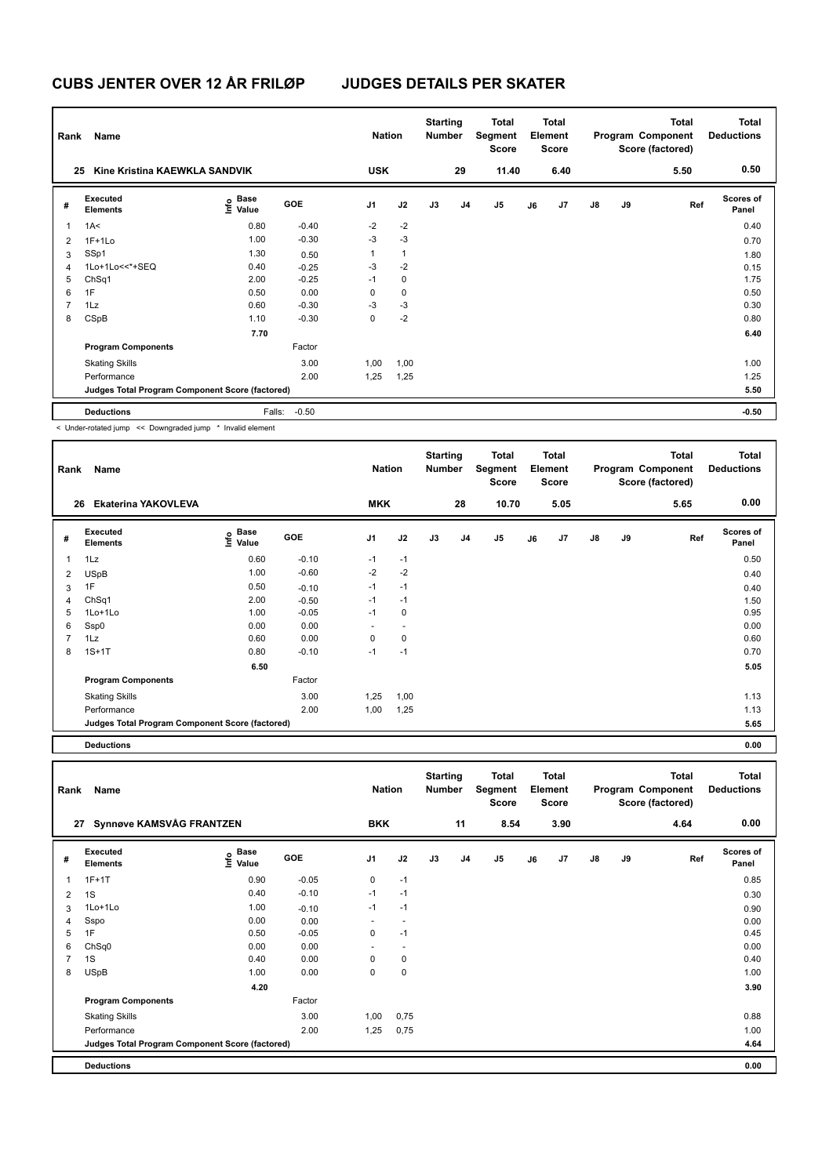| Rank           | Name                                                     |                       |            | <b>Nation</b>  |              | <b>Starting</b><br><b>Number</b> |                | Total<br>Segment<br><b>Score</b> |    | <b>Total</b><br>Element<br>Score |               |    | <b>Total</b><br>Program Component<br>Score (factored) | <b>Total</b><br><b>Deductions</b> |
|----------------|----------------------------------------------------------|-----------------------|------------|----------------|--------------|----------------------------------|----------------|----------------------------------|----|----------------------------------|---------------|----|-------------------------------------------------------|-----------------------------------|
|                | Kine Kristina KAEWKLA SANDVIK<br>25                      |                       |            | <b>USK</b>     |              |                                  | 29             | 11.40                            |    | 6.40                             |               |    | 5.50                                                  | 0.50                              |
| #              | Executed<br><b>Elements</b>                              | Base<br>lnfo<br>Value | <b>GOE</b> | J <sub>1</sub> | J2           | J3                               | J <sub>4</sub> | J5                               | J6 | J7                               | $\mathsf{J}8$ | J9 | Ref                                                   | <b>Scores of</b><br>Panel         |
| $\overline{1}$ | 1A<                                                      | 0.80                  | $-0.40$    | $-2$           | $-2$         |                                  |                |                                  |    |                                  |               |    |                                                       | 0.40                              |
| $\overline{2}$ | $1F+1Lo$                                                 | 1.00                  | $-0.30$    | $-3$           | $-3$         |                                  |                |                                  |    |                                  |               |    |                                                       | 0.70                              |
| 3              | SSp1                                                     | 1.30                  | 0.50       | 1              | $\mathbf{1}$ |                                  |                |                                  |    |                                  |               |    |                                                       | 1.80                              |
| 4              | 1Lo+1Lo<<*+SEQ                                           | 0.40                  | $-0.25$    | $-3$           | $-2$         |                                  |                |                                  |    |                                  |               |    |                                                       | 0.15                              |
| 5              | ChSq1                                                    | 2.00                  | $-0.25$    | $-1$           | $\mathbf 0$  |                                  |                |                                  |    |                                  |               |    |                                                       | 1.75                              |
| 6              | 1F                                                       | 0.50                  | 0.00       | 0              | $\mathbf 0$  |                                  |                |                                  |    |                                  |               |    |                                                       | 0.50                              |
| $\overline{7}$ | 1Lz                                                      | 0.60                  | $-0.30$    | $-3$           | $-3$         |                                  |                |                                  |    |                                  |               |    |                                                       | 0.30                              |
| 8              | CSpB                                                     | 1.10                  | $-0.30$    | 0              | $-2$         |                                  |                |                                  |    |                                  |               |    |                                                       | 0.80                              |
|                |                                                          | 7.70                  |            |                |              |                                  |                |                                  |    |                                  |               |    |                                                       | 6.40                              |
|                | <b>Program Components</b>                                |                       | Factor     |                |              |                                  |                |                                  |    |                                  |               |    |                                                       |                                   |
|                | <b>Skating Skills</b>                                    |                       | 3.00       | 1,00           | 1,00         |                                  |                |                                  |    |                                  |               |    |                                                       | 1.00                              |
|                | Performance                                              |                       | 2.00       | 1,25           | 1,25         |                                  |                |                                  |    |                                  |               |    |                                                       | 1.25                              |
|                | Judges Total Program Component Score (factored)          |                       |            |                |              |                                  |                |                                  |    |                                  |               |    |                                                       | 5.50                              |
|                | <b>Deductions</b>                                        | Falls:                | $-0.50$    |                |              |                                  |                |                                  |    |                                  |               |    |                                                       | $-0.50$                           |
|                | Lindor rotated jump 22 Doungraded jump * Involid element |                       |            |                |              |                                  |                |                                  |    |                                  |               |    |                                                       |                                   |

< Under-rotated jump << Downgraded jump \* Invalid element

| Rank           | Name                                            |                           |         | <b>Nation</b>  |                | <b>Starting</b><br><b>Number</b> |    | Total<br>Segment<br><b>Score</b> |    | <b>Total</b><br>Element<br><b>Score</b> |               |    | <b>Total</b><br>Program Component<br>Score (factored) | <b>Total</b><br><b>Deductions</b> |
|----------------|-------------------------------------------------|---------------------------|---------|----------------|----------------|----------------------------------|----|----------------------------------|----|-----------------------------------------|---------------|----|-------------------------------------------------------|-----------------------------------|
| 26             | <b>Ekaterina YAKOVLEVA</b>                      |                           |         | <b>MKK</b>     |                |                                  | 28 | 10.70                            |    | 5.05                                    |               |    | 5.65                                                  | 0.00                              |
| #              | Executed<br><b>Elements</b>                     | Base<br>o Base<br>E Value | GOE     | J <sub>1</sub> | J2             | J3                               | J4 | $\mathsf{J}5$                    | J6 | J7                                      | $\mathsf{J}8$ | J9 | Ref                                                   | <b>Scores of</b><br>Panel         |
| $\mathbf{1}$   | 1Lz                                             | 0.60                      | $-0.10$ | $-1$           | $-1$           |                                  |    |                                  |    |                                         |               |    |                                                       | 0.50                              |
| 2              | <b>USpB</b>                                     | 1.00                      | $-0.60$ | $-2$           | $-2$           |                                  |    |                                  |    |                                         |               |    |                                                       | 0.40                              |
| 3              | 1F                                              | 0.50                      | $-0.10$ | $-1$           | $-1$           |                                  |    |                                  |    |                                         |               |    |                                                       | 0.40                              |
| 4              | ChSq1                                           | 2.00                      | $-0.50$ | $-1$           | $-1$           |                                  |    |                                  |    |                                         |               |    |                                                       | 1.50                              |
| 5              | $1$ Lo $+1$ Lo                                  | 1.00                      | $-0.05$ | $-1$           | 0              |                                  |    |                                  |    |                                         |               |    |                                                       | 0.95                              |
| 6              | Ssp0                                            | 0.00                      | 0.00    |                | $\overline{a}$ |                                  |    |                                  |    |                                         |               |    |                                                       | 0.00                              |
| $\overline{7}$ | 1Lz                                             | 0.60                      | 0.00    | 0              | $\mathbf 0$    |                                  |    |                                  |    |                                         |               |    |                                                       | 0.60                              |
| 8              | $1S+1T$                                         | 0.80                      | $-0.10$ | $-1$           | $-1$           |                                  |    |                                  |    |                                         |               |    |                                                       | 0.70                              |
|                |                                                 | 6.50                      |         |                |                |                                  |    |                                  |    |                                         |               |    |                                                       | 5.05                              |
|                | <b>Program Components</b>                       |                           | Factor  |                |                |                                  |    |                                  |    |                                         |               |    |                                                       |                                   |
|                | <b>Skating Skills</b>                           |                           | 3.00    | 1,25           | 1,00           |                                  |    |                                  |    |                                         |               |    |                                                       | 1.13                              |
|                | Performance                                     |                           | 2.00    | 1,00           | 1,25           |                                  |    |                                  |    |                                         |               |    |                                                       | 1.13                              |
|                | Judges Total Program Component Score (factored) |                           |         |                |                |                                  |    |                                  |    |                                         |               |    |                                                       | 5.65                              |
|                |                                                 |                           |         |                |                |                                  |    |                                  |    |                                         |               |    |                                                       |                                   |

**Deductions 0.00**

| Rank           | Name                                            |                                  |         | <b>Nation</b>  |                | <b>Starting</b><br><b>Number</b> |                | <b>Total</b><br>Segment<br><b>Score</b> |    | <b>Total</b><br>Element<br><b>Score</b> |               |    | <b>Total</b><br>Program Component<br>Score (factored) | <b>Total</b><br><b>Deductions</b> |
|----------------|-------------------------------------------------|----------------------------------|---------|----------------|----------------|----------------------------------|----------------|-----------------------------------------|----|-----------------------------------------|---------------|----|-------------------------------------------------------|-----------------------------------|
| 27             | <b>Synnøve KAMSVÅG FRANTZEN</b>                 |                                  |         | <b>BKK</b>     |                |                                  | 11             | 8.54                                    |    | 3.90                                    |               |    | 4.64                                                  | 0.00                              |
| #              | Executed<br><b>Elements</b>                     | <b>Base</b><br>e Base<br>⊆ Value | GOE     | J <sub>1</sub> | J2             | J3                               | J <sub>4</sub> | J5                                      | J6 | J7                                      | $\mathsf{J}8$ | J9 | Ref                                                   | <b>Scores of</b><br>Panel         |
| $\overline{1}$ | $1F+1T$                                         | 0.90                             | $-0.05$ | 0              | $-1$           |                                  |                |                                         |    |                                         |               |    |                                                       | 0.85                              |
| $\overline{2}$ | 1S                                              | 0.40                             | $-0.10$ | $-1$           | $-1$           |                                  |                |                                         |    |                                         |               |    |                                                       | 0.30                              |
| 3              | 1Lo+1Lo                                         | 1.00                             | $-0.10$ | $-1$           | $-1$           |                                  |                |                                         |    |                                         |               |    |                                                       | 0.90                              |
| 4              | Sspo                                            | 0.00                             | 0.00    |                |                |                                  |                |                                         |    |                                         |               |    |                                                       | 0.00                              |
| 5              | 1F                                              | 0.50                             | $-0.05$ | 0              | $-1$           |                                  |                |                                         |    |                                         |               |    |                                                       | 0.45                              |
| 6              | ChSq0                                           | 0.00                             | 0.00    |                | $\overline{a}$ |                                  |                |                                         |    |                                         |               |    |                                                       | 0.00                              |
| 7              | 1S                                              | 0.40                             | 0.00    | 0              | 0              |                                  |                |                                         |    |                                         |               |    |                                                       | 0.40                              |
| 8              | <b>USpB</b>                                     | 1.00                             | 0.00    | 0              | $\mathbf 0$    |                                  |                |                                         |    |                                         |               |    |                                                       | 1.00                              |
|                |                                                 | 4.20                             |         |                |                |                                  |                |                                         |    |                                         |               |    |                                                       | 3.90                              |
|                | <b>Program Components</b>                       |                                  | Factor  |                |                |                                  |                |                                         |    |                                         |               |    |                                                       |                                   |
|                | <b>Skating Skills</b>                           |                                  | 3.00    | 1,00           | 0,75           |                                  |                |                                         |    |                                         |               |    |                                                       | 0.88                              |
|                | Performance                                     |                                  | 2.00    | 1,25           | 0,75           |                                  |                |                                         |    |                                         |               |    |                                                       | 1.00                              |
|                | Judges Total Program Component Score (factored) |                                  |         |                |                |                                  |                |                                         |    |                                         |               |    |                                                       | 4.64                              |
|                | <b>Deductions</b>                               |                                  |         |                |                |                                  |                |                                         |    |                                         |               |    |                                                       | 0.00                              |